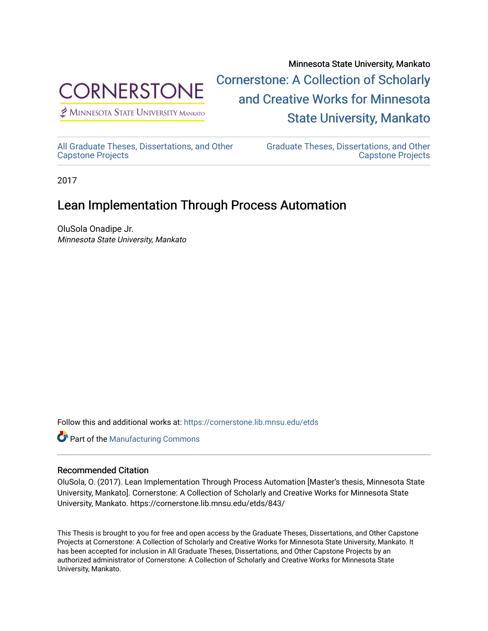

 $<sup>2</sup>$  Minnesota State University Mankato</sup>

Minnesota State University, Mankato [Cornerstone: A Collection of Scholarly](https://cornerstone.lib.mnsu.edu/)  [and Creative Works for Minnesota](https://cornerstone.lib.mnsu.edu/)  [State University, Mankato](https://cornerstone.lib.mnsu.edu/) 

[All Graduate Theses, Dissertations, and Other](https://cornerstone.lib.mnsu.edu/etds)  [Capstone Projects](https://cornerstone.lib.mnsu.edu/etds) 

[Graduate Theses, Dissertations, and Other](https://cornerstone.lib.mnsu.edu/theses_dissertations-capstone)  [Capstone Projects](https://cornerstone.lib.mnsu.edu/theses_dissertations-capstone) 

2017

# Lean Implementation Through Process Automation

OluSola Onadipe Jr. Minnesota State University, Mankato

Follow this and additional works at: [https://cornerstone.lib.mnsu.edu/etds](https://cornerstone.lib.mnsu.edu/etds?utm_source=cornerstone.lib.mnsu.edu%2Fetds%2F843&utm_medium=PDF&utm_campaign=PDFCoverPages) 



# Recommended Citation

OluSola, O. (2017). Lean Implementation Through Process Automation [Master's thesis, Minnesota State University, Mankato]. Cornerstone: A Collection of Scholarly and Creative Works for Minnesota State University, Mankato. https://cornerstone.lib.mnsu.edu/etds/843/

This Thesis is brought to you for free and open access by the Graduate Theses, Dissertations, and Other Capstone Projects at Cornerstone: A Collection of Scholarly and Creative Works for Minnesota State University, Mankato. It has been accepted for inclusion in All Graduate Theses, Dissertations, and Other Capstone Projects by an authorized administrator of Cornerstone: A Collection of Scholarly and Creative Works for Minnesota State University, Mankato.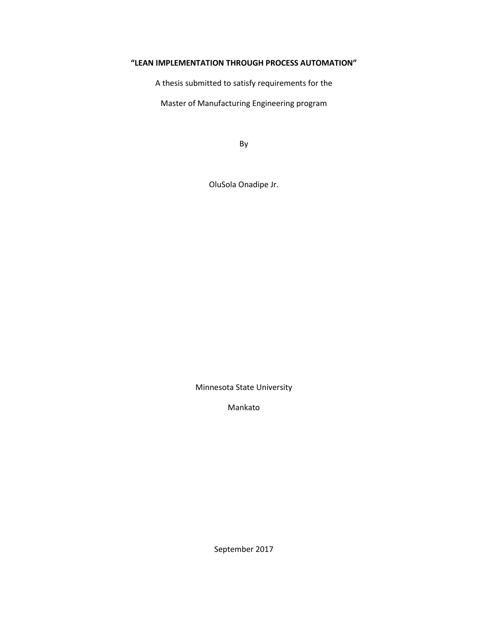# **"LEAN IMPLEMENTATION THROUGH PROCESS AUTOMATION"**

A thesis submitted to satisfy requirements for the

Master of Manufacturing Engineering program

By

OluSola Onadipe Jr.

Minnesota State University

Mankato

September 2017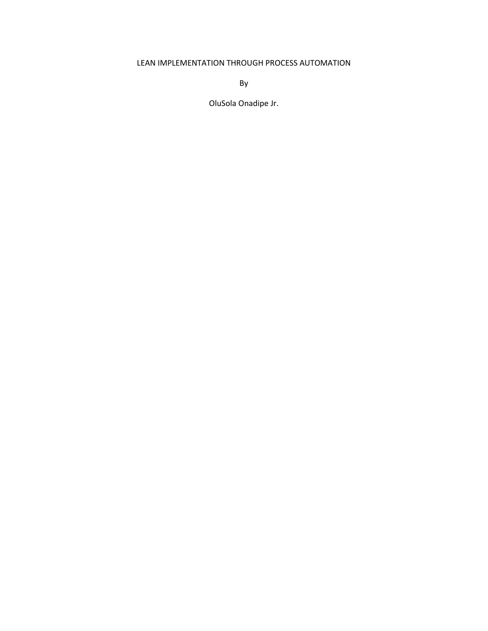# LEAN IMPLEMENTATION THROUGH PROCESS AUTOMATION

By

OluSola Onadipe Jr.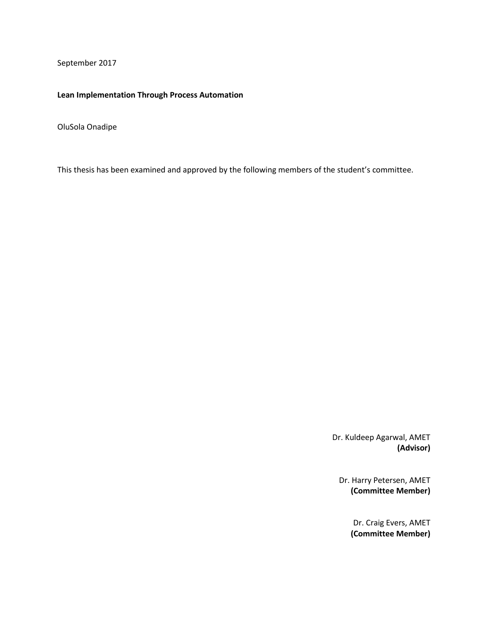September 2017

## **Lean Implementation Through Process Automation**

OluSola Onadipe

This thesis has been examined and approved by the following members of the student's committee.

Dr. Kuldeep Agarwal, AMET **(Advisor)**

Dr. Harry Petersen, AMET **(Committee Member)**

> Dr. Craig Evers, AMET **(Committee Member)**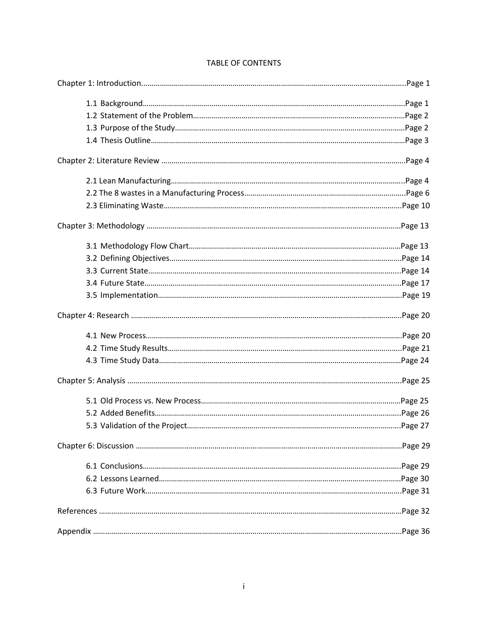# TABLE OF CONTENTS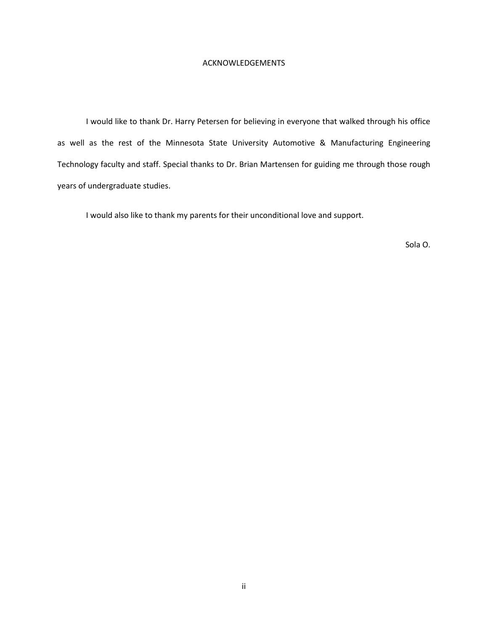## ACKNOWLEDGEMENTS

I would like to thank Dr. Harry Petersen for believing in everyone that walked through his office as well as the rest of the Minnesota State University Automotive & Manufacturing Engineering Technology faculty and staff. Special thanks to Dr. Brian Martensen for guiding me through those rough years of undergraduate studies.

I would also like to thank my parents for their unconditional love and support.

Sola O.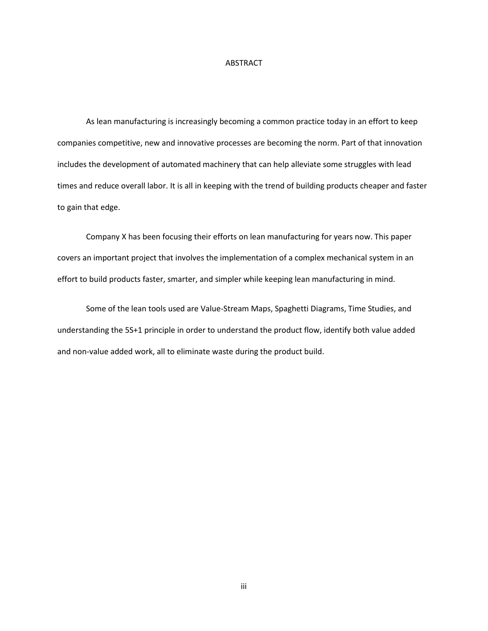#### ABSTRACT

As lean manufacturing is increasingly becoming a common practice today in an effort to keep companies competitive, new and innovative processes are becoming the norm. Part of that innovation includes the development of automated machinery that can help alleviate some struggles with lead times and reduce overall labor. It is all in keeping with the trend of building products cheaper and faster to gain that edge.

Company X has been focusing their efforts on lean manufacturing for years now. This paper covers an important project that involves the implementation of a complex mechanical system in an effort to build products faster, smarter, and simpler while keeping lean manufacturing in mind.

Some of the lean tools used are Value-Stream Maps, Spaghetti Diagrams, Time Studies, and understanding the 5S+1 principle in order to understand the product flow, identify both value added and non-value added work, all to eliminate waste during the product build.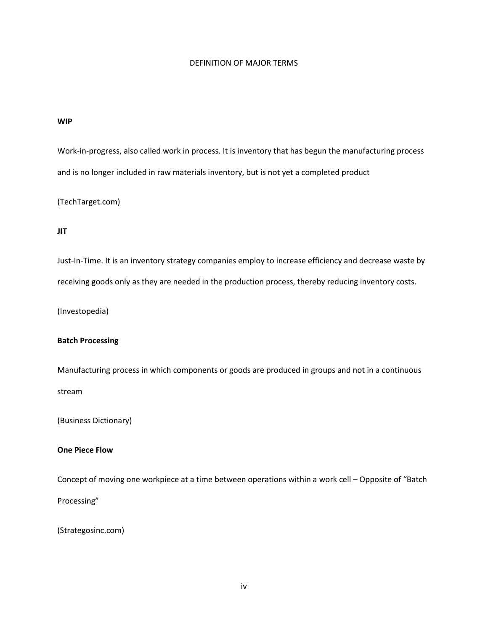## DEFINITION OF MAJOR TERMS

## **WIP**

Work-in-progress, also called work in process. It is inventory that has begun the manufacturing process and is no longer included in raw materials inventory, but is not yet a completed product

(TechTarget.com)

## **JIT**

Just-In-Time. It is an inventory strategy companies employ to increase efficiency and decrease waste by receiving goods only as they are needed in the production process, thereby reducing inventory costs.

(Investopedia)

## **Batch Processing**

Manufacturing process in which components or goods are produced in groups and not in a continuous stream

(Business Dictionary)

## **One Piece Flow**

Concept of moving one workpiece at a time between operations within a work cell – Opposite of "Batch Processing"

(Strategosinc.com)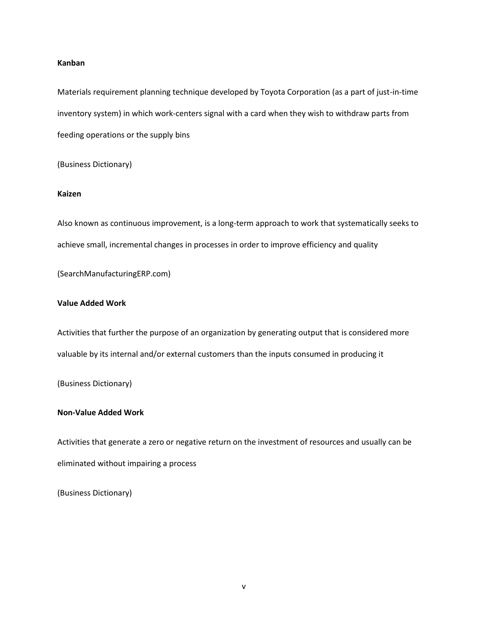#### **Kanban**

Materials requirement planning technique developed by Toyota Corporation (as a part of just-in-time inventory system) in which work-centers signal with a card when they wish to withdraw parts from feeding operations or the supply bins

(Business Dictionary)

### **Kaizen**

Also known as continuous improvement, is a long-term approach to work that systematically seeks to achieve small, incremental changes in processes in order to improve efficiency and quality

(SearchManufacturingERP.com)

# **Value Added Work**

Activities that further the purpose of an organization by generating output that is considered more valuable by its internal and/or external customers than the inputs consumed in producing it

(Business Dictionary)

# **Non-Value Added Work**

Activities that generate a zero or negative return on the investment of resources and usually can be eliminated without impairing a process

(Business Dictionary)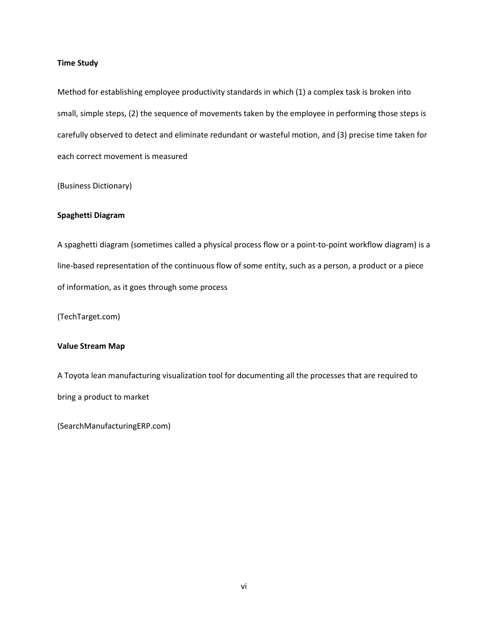### **Time Study**

Method for establishing employee productivity standards in which (1) a complex task is broken into small, simple steps, (2) the sequence of movements taken by the employee in performing those steps is carefully observed to detect and eliminate redundant or wasteful motion, and (3) precise time taken for each correct movement is measured

(Business Dictionary)

# **Spaghetti Diagram**

A spaghetti diagram (sometimes called a physical process flow or a point-to-point workflow diagram) is a line-based representation of the continuous flow of some entity, such as a person, a product or a piece of information, as it goes through some process

(TechTarget.com)

### **Value Stream Map**

A Toyota lean manufacturing visualization tool for documenting all the processes that are required to bring a product to market

(SearchManufacturingERP.com)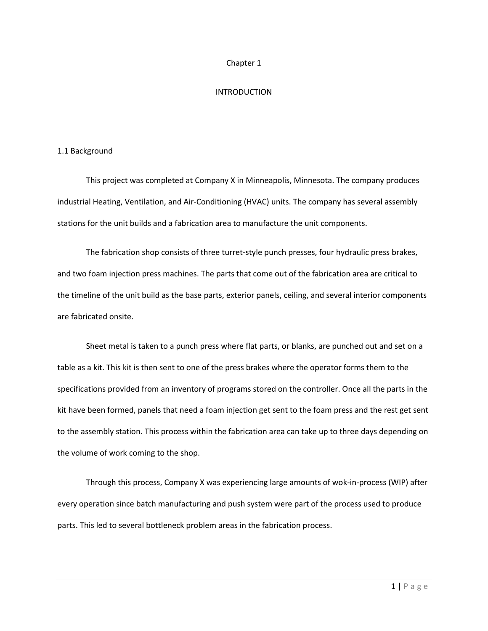### Chapter 1

## INTRODUCTION

### 1.1 Background

This project was completed at Company X in Minneapolis, Minnesota. The company produces industrial Heating, Ventilation, and Air-Conditioning (HVAC) units. The company has several assembly stations for the unit builds and a fabrication area to manufacture the unit components.

The fabrication shop consists of three turret-style punch presses, four hydraulic press brakes, and two foam injection press machines. The parts that come out of the fabrication area are critical to the timeline of the unit build as the base parts, exterior panels, ceiling, and several interior components are fabricated onsite.

Sheet metal is taken to a punch press where flat parts, or blanks, are punched out and set on a table as a kit. This kit is then sent to one of the press brakes where the operator forms them to the specifications provided from an inventory of programs stored on the controller. Once all the parts in the kit have been formed, panels that need a foam injection get sent to the foam press and the rest get sent to the assembly station. This process within the fabrication area can take up to three days depending on the volume of work coming to the shop.

Through this process, Company X was experiencing large amounts of wok-in-process (WIP) after every operation since batch manufacturing and push system were part of the process used to produce parts. This led to several bottleneck problem areas in the fabrication process.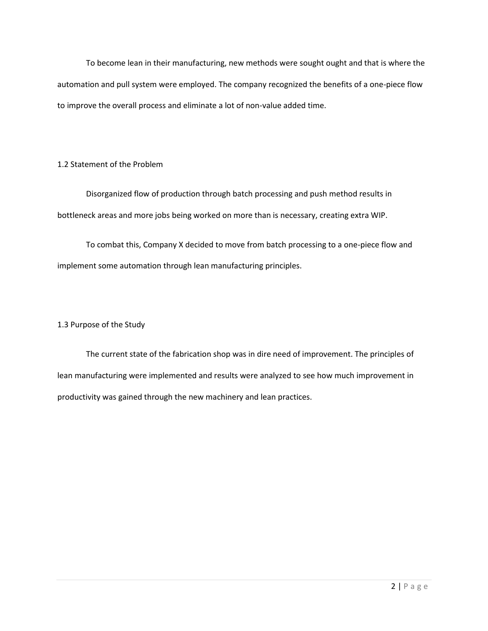To become lean in their manufacturing, new methods were sought ought and that is where the automation and pull system were employed. The company recognized the benefits of a one-piece flow to improve the overall process and eliminate a lot of non-value added time.

# 1.2 Statement of the Problem

Disorganized flow of production through batch processing and push method results in bottleneck areas and more jobs being worked on more than is necessary, creating extra WIP.

To combat this, Company X decided to move from batch processing to a one-piece flow and implement some automation through lean manufacturing principles.

# 1.3 Purpose of the Study

The current state of the fabrication shop was in dire need of improvement. The principles of lean manufacturing were implemented and results were analyzed to see how much improvement in productivity was gained through the new machinery and lean practices.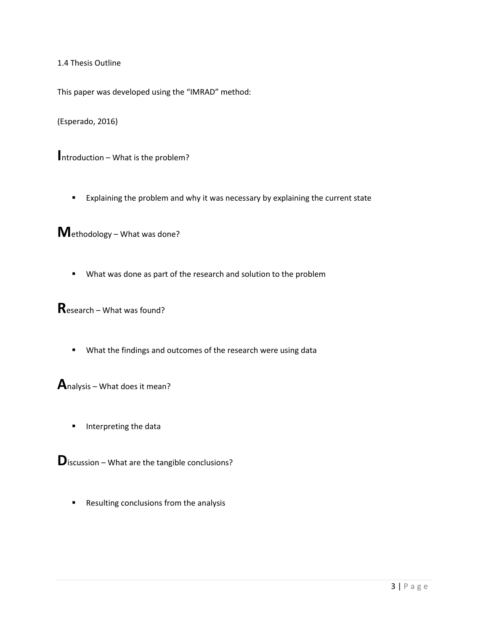1.4 Thesis Outline

This paper was developed using the "IMRAD" method:

(Esperado, 2016)

**I**ntroduction – What is the problem?

■ Explaining the problem and why it was necessary by explaining the current state

**M**ethodology – What was done?

▪ What was done as part of the research and solution to the problem

**R**esearch – What was found?

▪ What the findings and outcomes of the research were using data

**A**nalysis – What does it mean?

■ Interpreting the data

**D**iscussion – What are the tangible conclusions?

■ Resulting conclusions from the analysis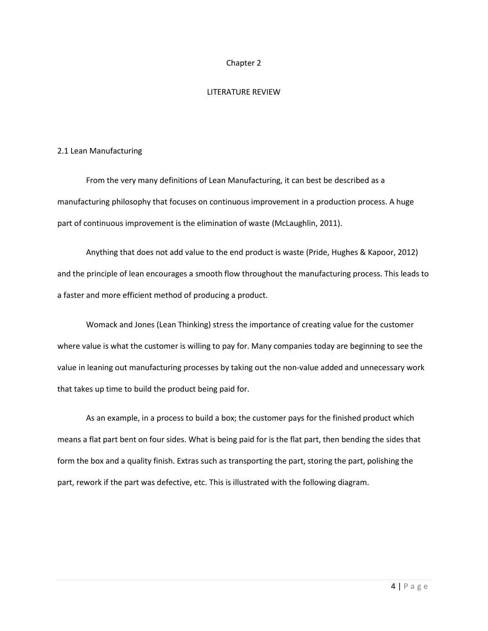### Chapter 2

### LITERATURE REVIEW

### 2.1 Lean Manufacturing

From the very many definitions of Lean Manufacturing, it can best be described as a manufacturing philosophy that focuses on continuous improvement in a production process. A huge part of continuous improvement is the elimination of waste (McLaughlin, 2011).

Anything that does not add value to the end product is waste (Pride, Hughes & Kapoor, 2012) and the principle of lean encourages a smooth flow throughout the manufacturing process. This leads to a faster and more efficient method of producing a product.

Womack and Jones (Lean Thinking) stress the importance of creating value for the customer where value is what the customer is willing to pay for. Many companies today are beginning to see the value in leaning out manufacturing processes by taking out the non-value added and unnecessary work that takes up time to build the product being paid for.

As an example, in a process to build a box; the customer pays for the finished product which means a flat part bent on four sides. What is being paid for is the flat part, then bending the sides that form the box and a quality finish. Extras such as transporting the part, storing the part, polishing the part, rework if the part was defective, etc. This is illustrated with the following diagram.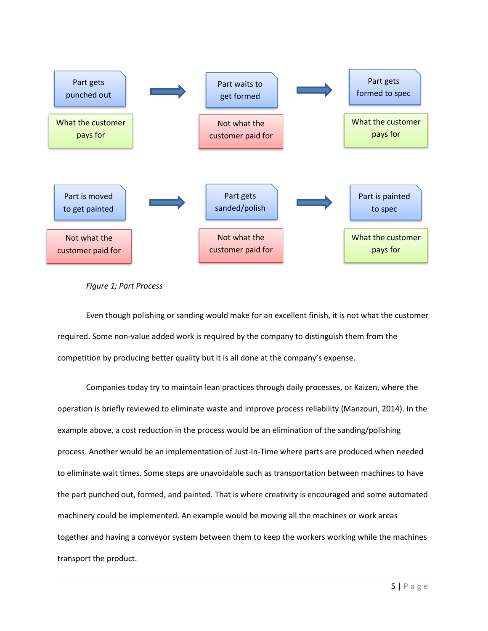

*Figure 1; Part Process* 

Even though polishing or sanding would make for an excellent finish, it is not what the customer required. Some non-value added work is required by the company to distinguish them from the competition by producing better quality but it is all done at the company's expense.

Companies today try to maintain lean practices through daily processes, or Kaizen, where the operation is briefly reviewed to eliminate waste and improve process reliability (Manzouri, 2014). In the example above, a cost reduction in the process would be an elimination of the sanding/polishing process. Another would be an implementation of Just-In-Time where parts are produced when needed to eliminate wait times. Some steps are unavoidable such as transportation between machines to have the part punched out, formed, and painted. That is where creativity is encouraged and some automated machinery could be implemented. An example would be moving all the machines or work areas together and having a conveyor system between them to keep the workers working while the machines transport the product.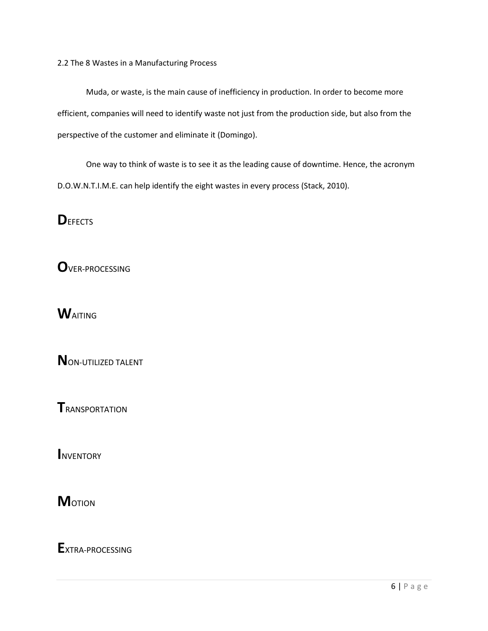2.2 The 8 Wastes in a Manufacturing Process

Muda, or waste, is the main cause of inefficiency in production. In order to become more efficient, companies will need to identify waste not just from the production side, but also from the perspective of the customer and eliminate it (Domingo).

One way to think of waste is to see it as the leading cause of downtime. Hence, the acronym D.O.W.N.T.I.M.E. can help identify the eight wastes in every process (Stack, 2010).

**DEFECTS** 

**O**VER-PROCESSING

**W**AITING

**N**ON-UTILIZED TALENT

**T**RANSPORTATION

**I**NVENTORY

**M**OTION

**E**XTRA-PROCESSING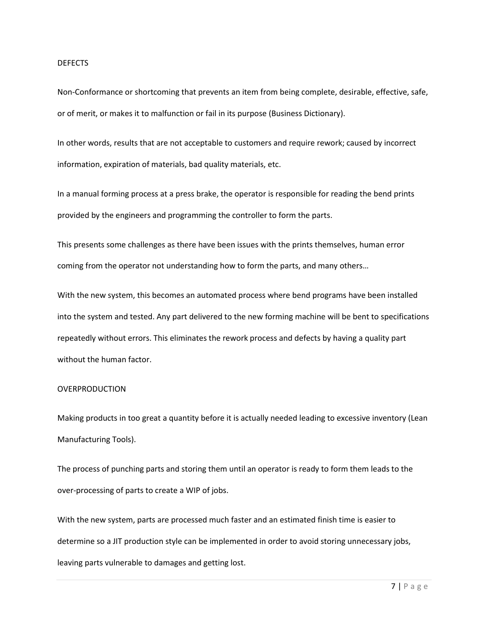### DEFECTS

Non-Conformance or shortcoming that prevents an item from being complete, desirable, effective, safe, or of merit, or makes it to malfunction or fail in its purpose (Business Dictionary).

In other words, results that are not acceptable to customers and require rework; caused by incorrect information, expiration of materials, bad quality materials, etc.

In a manual forming process at a press brake, the operator is responsible for reading the bend prints provided by the engineers and programming the controller to form the parts.

This presents some challenges as there have been issues with the prints themselves, human error coming from the operator not understanding how to form the parts, and many others…

With the new system, this becomes an automated process where bend programs have been installed into the system and tested. Any part delivered to the new forming machine will be bent to specifications repeatedly without errors. This eliminates the rework process and defects by having a quality part without the human factor.

### OVERPRODUCTION

Making products in too great a quantity before it is actually needed leading to excessive inventory (Lean Manufacturing Tools).

The process of punching parts and storing them until an operator is ready to form them leads to the over-processing of parts to create a WIP of jobs.

With the new system, parts are processed much faster and an estimated finish time is easier to determine so a JIT production style can be implemented in order to avoid storing unnecessary jobs, leaving parts vulnerable to damages and getting lost.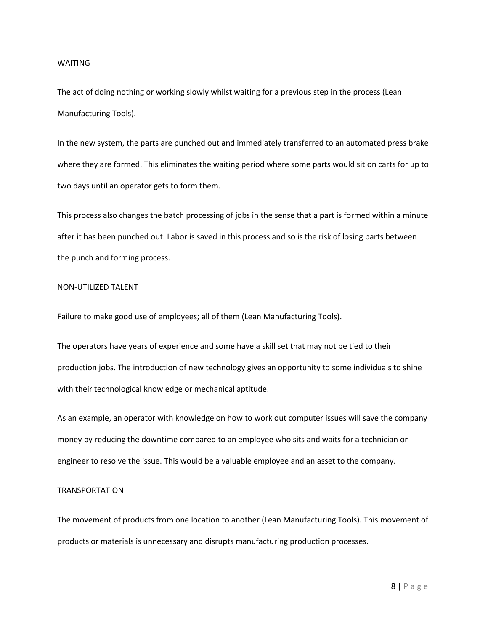### WAITING

The act of doing nothing or working slowly whilst waiting for a previous step in the process (Lean Manufacturing Tools).

In the new system, the parts are punched out and immediately transferred to an automated press brake where they are formed. This eliminates the waiting period where some parts would sit on carts for up to two days until an operator gets to form them.

This process also changes the batch processing of jobs in the sense that a part is formed within a minute after it has been punched out. Labor is saved in this process and so is the risk of losing parts between the punch and forming process.

### NON-UTILIZED TALENT

Failure to make good use of employees; all of them (Lean Manufacturing Tools).

The operators have years of experience and some have a skill set that may not be tied to their production jobs. The introduction of new technology gives an opportunity to some individuals to shine with their technological knowledge or mechanical aptitude.

As an example, an operator with knowledge on how to work out computer issues will save the company money by reducing the downtime compared to an employee who sits and waits for a technician or engineer to resolve the issue. This would be a valuable employee and an asset to the company.

### TRANSPORTATION

The movement of products from one location to another (Lean Manufacturing Tools). This movement of products or materials is unnecessary and disrupts manufacturing production processes.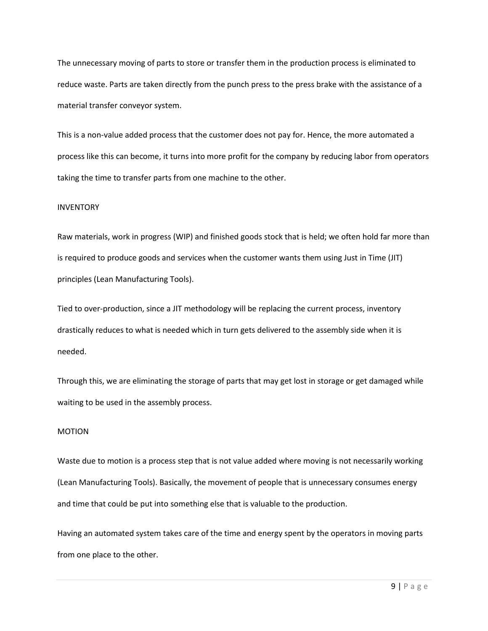The unnecessary moving of parts to store or transfer them in the production process is eliminated to reduce waste. Parts are taken directly from the punch press to the press brake with the assistance of a material transfer conveyor system.

This is a non-value added process that the customer does not pay for. Hence, the more automated a process like this can become, it turns into more profit for the company by reducing labor from operators taking the time to transfer parts from one machine to the other.

## INVENTORY

Raw materials, work in progress (WIP) and finished goods stock that is held; we often hold far more than is required to produce goods and services when the customer wants them using Just in Time (JIT) principles (Lean Manufacturing Tools).

Tied to over-production, since a JIT methodology will be replacing the current process, inventory drastically reduces to what is needed which in turn gets delivered to the assembly side when it is needed.

Through this, we are eliminating the storage of parts that may get lost in storage or get damaged while waiting to be used in the assembly process.

### MOTION

Waste due to motion is a process step that is not value added where moving is not necessarily working (Lean Manufacturing Tools). Basically, the movement of people that is unnecessary consumes energy and time that could be put into something else that is valuable to the production.

Having an automated system takes care of the time and energy spent by the operators in moving parts from one place to the other.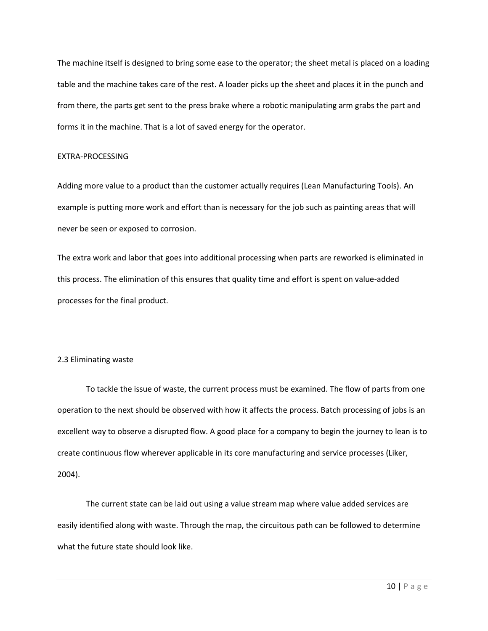The machine itself is designed to bring some ease to the operator; the sheet metal is placed on a loading table and the machine takes care of the rest. A loader picks up the sheet and places it in the punch and from there, the parts get sent to the press brake where a robotic manipulating arm grabs the part and forms it in the machine. That is a lot of saved energy for the operator.

### EXTRA-PROCESSING

Adding more value to a product than the customer actually requires (Lean Manufacturing Tools). An example is putting more work and effort than is necessary for the job such as painting areas that will never be seen or exposed to corrosion.

The extra work and labor that goes into additional processing when parts are reworked is eliminated in this process. The elimination of this ensures that quality time and effort is spent on value-added processes for the final product.

## 2.3 Eliminating waste

To tackle the issue of waste, the current process must be examined. The flow of parts from one operation to the next should be observed with how it affects the process. Batch processing of jobs is an excellent way to observe a disrupted flow. A good place for a company to begin the journey to lean is to create continuous flow wherever applicable in its core manufacturing and service processes (Liker, 2004).

The current state can be laid out using a value stream map where value added services are easily identified along with waste. Through the map, the circuitous path can be followed to determine what the future state should look like.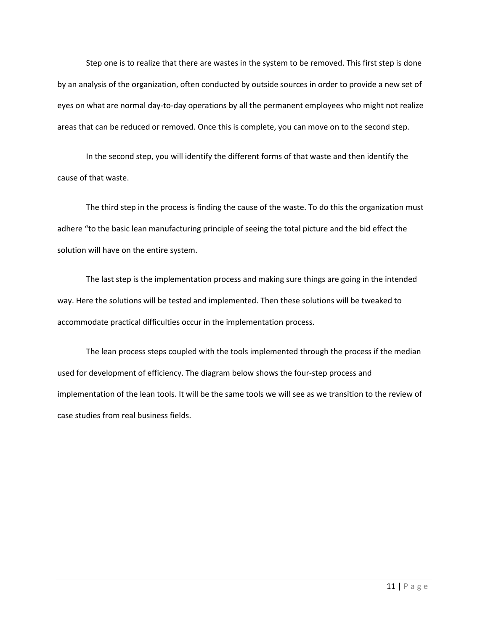Step one is to realize that there are wastes in the system to be removed. This first step is done by an analysis of the organization, often conducted by outside sources in order to provide a new set of eyes on what are normal day-to-day operations by all the permanent employees who might not realize areas that can be reduced or removed. Once this is complete, you can move on to the second step.

In the second step, you will identify the different forms of that waste and then identify the cause of that waste.

The third step in the process is finding the cause of the waste. To do this the organization must adhere "to the basic lean manufacturing principle of seeing the total picture and the bid effect the solution will have on the entire system.

The last step is the implementation process and making sure things are going in the intended way. Here the solutions will be tested and implemented. Then these solutions will be tweaked to accommodate practical difficulties occur in the implementation process.

The lean process steps coupled with the tools implemented through the process if the median used for development of efficiency. The diagram below shows the four-step process and implementation of the lean tools. It will be the same tools we will see as we transition to the review of case studies from real business fields.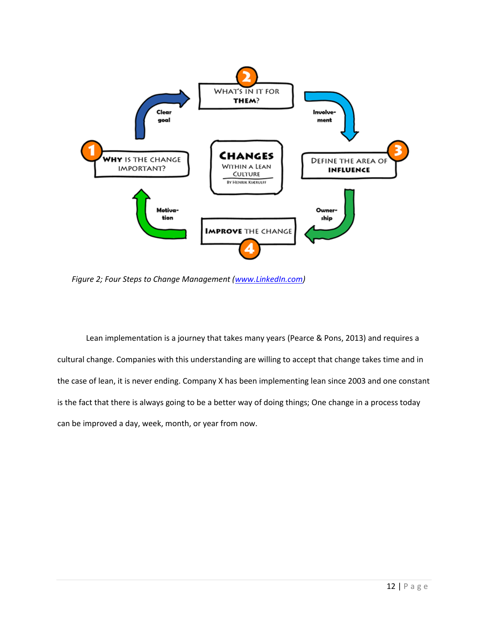

*Figure 2; Four Steps to Change Management [\(www.LinkedIn.com\)](http://www.linkedin.com/)*

Lean implementation is a journey that takes many years (Pearce & Pons, 2013) and requires a cultural change. Companies with this understanding are willing to accept that change takes time and in the case of lean, it is never ending. Company X has been implementing lean since 2003 and one constant is the fact that there is always going to be a better way of doing things; One change in a process today can be improved a day, week, month, or year from now.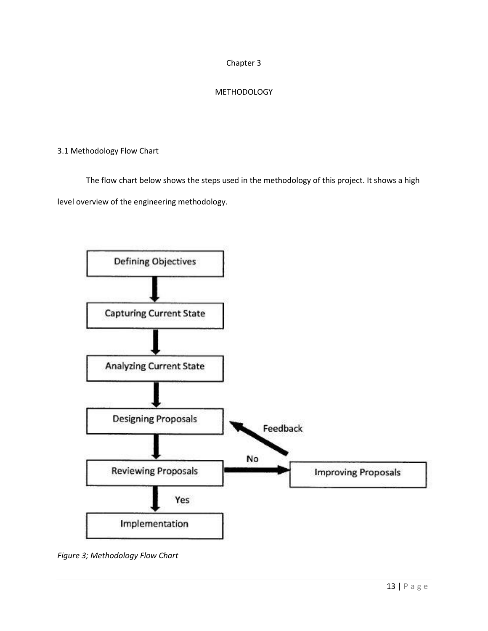# Chapter 3

# METHODOLOGY

3.1 Methodology Flow Chart

The flow chart below shows the steps used in the methodology of this project. It shows a high level overview of the engineering methodology.



*Figure 3; Methodology Flow Chart*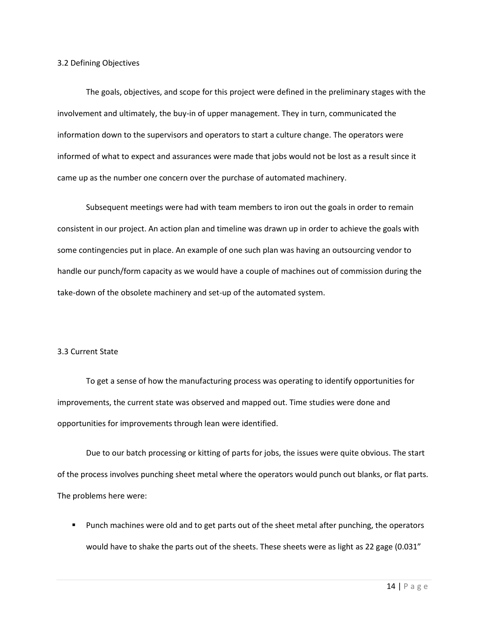#### 3.2 Defining Objectives

The goals, objectives, and scope for this project were defined in the preliminary stages with the involvement and ultimately, the buy-in of upper management. They in turn, communicated the information down to the supervisors and operators to start a culture change. The operators were informed of what to expect and assurances were made that jobs would not be lost as a result since it came up as the number one concern over the purchase of automated machinery.

Subsequent meetings were had with team members to iron out the goals in order to remain consistent in our project. An action plan and timeline was drawn up in order to achieve the goals with some contingencies put in place. An example of one such plan was having an outsourcing vendor to handle our punch/form capacity as we would have a couple of machines out of commission during the take-down of the obsolete machinery and set-up of the automated system.

### 3.3 Current State

To get a sense of how the manufacturing process was operating to identify opportunities for improvements, the current state was observed and mapped out. Time studies were done and opportunities for improvements through lean were identified.

Due to our batch processing or kitting of parts for jobs, the issues were quite obvious. The start of the process involves punching sheet metal where the operators would punch out blanks, or flat parts. The problems here were:

Punch machines were old and to get parts out of the sheet metal after punching, the operators would have to shake the parts out of the sheets. These sheets were as light as 22 gage (0.031"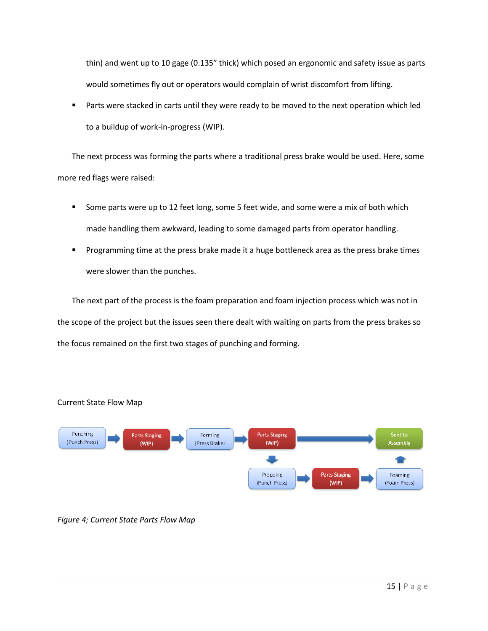thin) and went up to 10 gage (0.135" thick) which posed an ergonomic and safety issue as parts would sometimes fly out or operators would complain of wrist discomfort from lifting.

Parts were stacked in carts until they were ready to be moved to the next operation which led to a buildup of work-in-progress (WIP).

The next process was forming the parts where a traditional press brake would be used. Here, some more red flags were raised:

- Some parts were up to 12 feet long, some 5 feet wide, and some were a mix of both which made handling them awkward, leading to some damaged parts from operator handling.
- **•** Programming time at the press brake made it a huge bottleneck area as the press brake times were slower than the punches.

The next part of the process is the foam preparation and foam injection process which was not in the scope of the project but the issues seen there dealt with waiting on parts from the press brakes so the focus remained on the first two stages of punching and forming.



# Current State Flow Map

*Figure 4; Current State Parts Flow Map*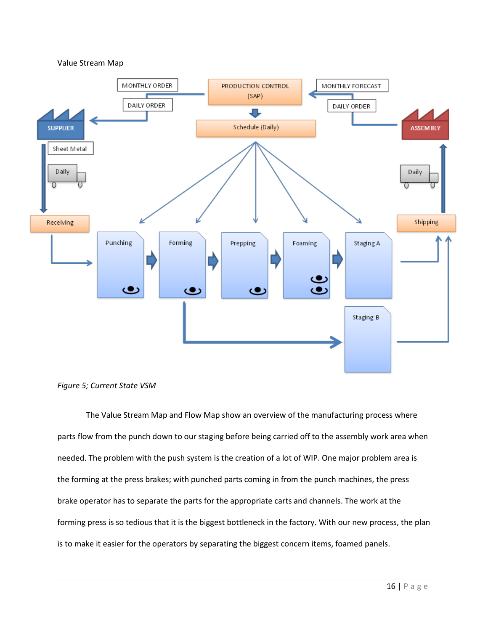



*Figure 5; Current State VSM*

The Value Stream Map and Flow Map show an overview of the manufacturing process where parts flow from the punch down to our staging before being carried off to the assembly work area when needed. The problem with the push system is the creation of a lot of WIP. One major problem area is the forming at the press brakes; with punched parts coming in from the punch machines, the press brake operator has to separate the parts for the appropriate carts and channels. The work at the forming press is so tedious that it is the biggest bottleneck in the factory. With our new process, the plan is to make it easier for the operators by separating the biggest concern items, foamed panels.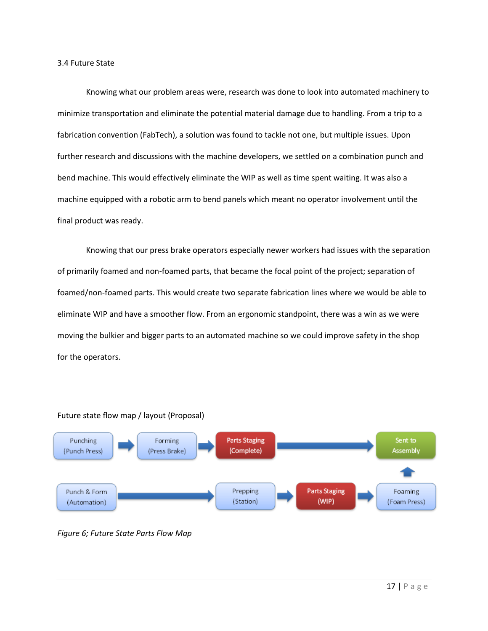3.4 Future State

Knowing what our problem areas were, research was done to look into automated machinery to minimize transportation and eliminate the potential material damage due to handling. From a trip to a fabrication convention (FabTech), a solution was found to tackle not one, but multiple issues. Upon further research and discussions with the machine developers, we settled on a combination punch and bend machine. This would effectively eliminate the WIP as well as time spent waiting. It was also a machine equipped with a robotic arm to bend panels which meant no operator involvement until the final product was ready.

Knowing that our press brake operators especially newer workers had issues with the separation of primarily foamed and non-foamed parts, that became the focal point of the project; separation of foamed/non-foamed parts. This would create two separate fabrication lines where we would be able to eliminate WIP and have a smoother flow. From an ergonomic standpoint, there was a win as we were moving the bulkier and bigger parts to an automated machine so we could improve safety in the shop for the operators.



Future state flow map / layout (Proposal)

*Figure 6; Future State Parts Flow Map*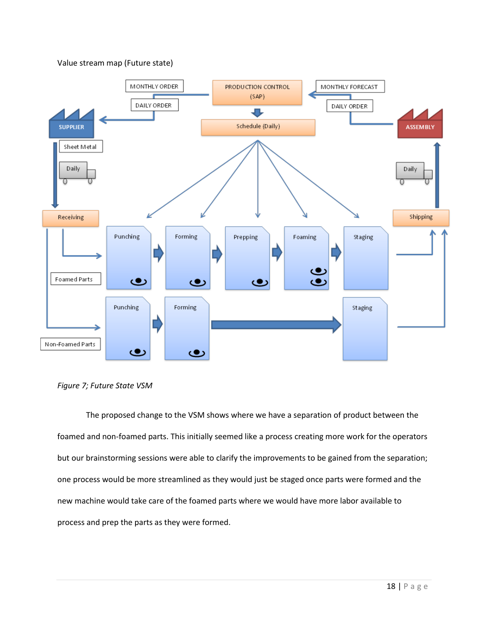# Value stream map (Future state)



*Figure 7; Future State VSM*

The proposed change to the VSM shows where we have a separation of product between the foamed and non-foamed parts. This initially seemed like a process creating more work for the operators but our brainstorming sessions were able to clarify the improvements to be gained from the separation; one process would be more streamlined as they would just be staged once parts were formed and the new machine would take care of the foamed parts where we would have more labor available to process and prep the parts as they were formed.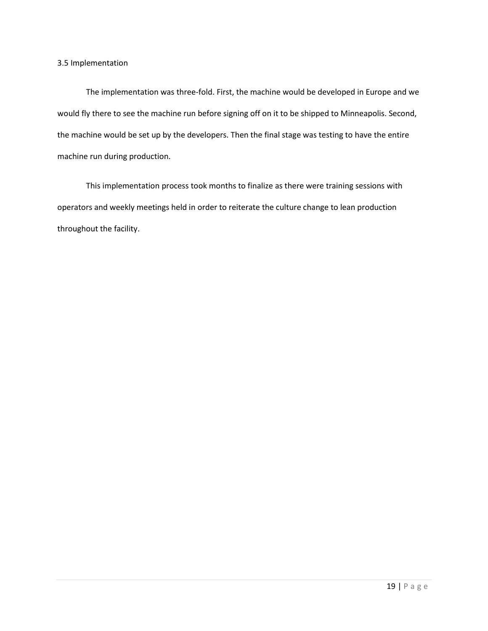## 3.5 Implementation

The implementation was three-fold. First, the machine would be developed in Europe and we would fly there to see the machine run before signing off on it to be shipped to Minneapolis. Second, the machine would be set up by the developers. Then the final stage was testing to have the entire machine run during production.

This implementation process took months to finalize as there were training sessions with operators and weekly meetings held in order to reiterate the culture change to lean production throughout the facility.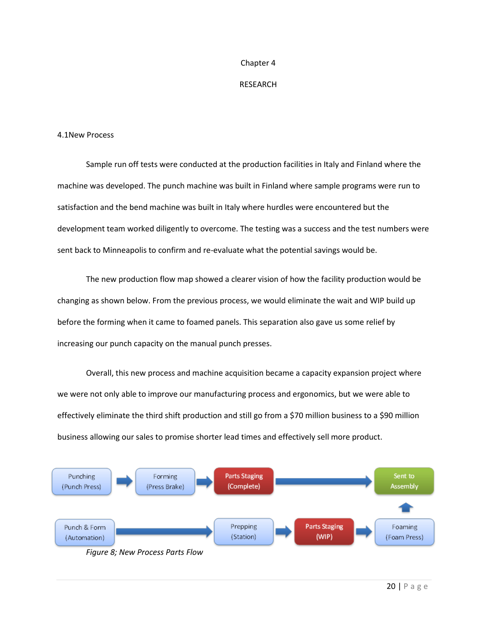### Chapter 4

### RESEARCH

### 4.1New Process

Sample run off tests were conducted at the production facilities in Italy and Finland where the machine was developed. The punch machine was built in Finland where sample programs were run to satisfaction and the bend machine was built in Italy where hurdles were encountered but the development team worked diligently to overcome. The testing was a success and the test numbers were sent back to Minneapolis to confirm and re-evaluate what the potential savings would be.

The new production flow map showed a clearer vision of how the facility production would be changing as shown below. From the previous process, we would eliminate the wait and WIP build up before the forming when it came to foamed panels. This separation also gave us some relief by increasing our punch capacity on the manual punch presses.

Overall, this new process and machine acquisition became a capacity expansion project where we were not only able to improve our manufacturing process and ergonomics, but we were able to effectively eliminate the third shift production and still go from a \$70 million business to a \$90 million business allowing our sales to promise shorter lead times and effectively sell more product.

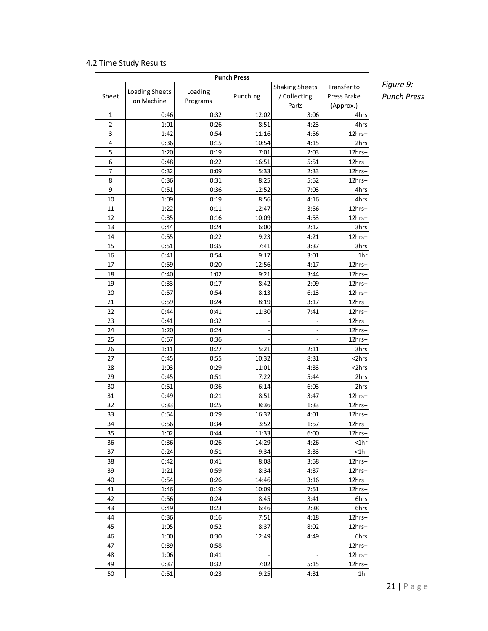# 4.2 Time Study Results

| <b>Punch Press</b>      |                       |          |          |                       |             |  |
|-------------------------|-----------------------|----------|----------|-----------------------|-------------|--|
|                         | <b>Loading Sheets</b> | Loading  |          | <b>Shaking Sheets</b> | Transfer to |  |
| Sheet                   | on Machine            | Programs | Punching | / Collecting          | Press Brake |  |
|                         |                       |          |          | Parts                 | (Approx.)   |  |
| 1                       | 0:46                  | 0:32     | 12:02    | 3:06                  | 4hrs        |  |
| $\overline{\mathbf{2}}$ | 1:01                  | 0:26     | 8:51     | 4:23                  | 4hrs        |  |
| 3                       | 1:42                  | 0:54     | 11:16    | 4:56                  | 12hrs+      |  |
| 4                       | 0:36                  | 0:15     | 10:54    | 4:15                  | 2hrs        |  |
| 5                       | 1:20                  | 0:19     | 7:01     | 2:03                  | 12hrs+      |  |
| 6                       | 0:48                  | 0:22     | 16:51    | 5:51                  | 12hrs+      |  |
| 7                       | 0:32                  | 0:09     | 5:33     | 2:33                  | 12hrs+      |  |
| 8                       | 0:36                  | 0:31     | 8:25     | 5:52                  | 12hrs+      |  |
| 9                       | 0:51                  | 0:36     | 12:52    | 7:03                  | 4hrs        |  |
| 10                      | 1:09                  | 0:19     | 8:56     | 4:16                  | 4hrs        |  |
| 11                      | 1:22                  | 0:11     | 12:47    | 3:56                  | 12hrs+      |  |
| 12                      | 0:35                  | 0:16     | 10:09    | 4:53                  | 12hrs+      |  |
| 13                      | 0:44                  | 0:24     | 6:00     | 2:12                  | 3hrs        |  |
| 14                      | 0:55                  | 0:22     | 9:23     | 4:21                  | 12hrs+      |  |
| 15                      | 0:51                  | 0:35     | 7:41     | 3:37                  | 3hrs        |  |
| 16                      | 0:41                  | 0:54     | 9:17     | 3:01                  | 1hr         |  |
| 17                      | 0:59                  | 0:20     | 12:56    | 4:17                  | 12hrs+      |  |
| 18                      | 0:40                  | 1:02     | 9:21     | 3:44                  | 12hrs+      |  |
| 19                      | 0:33                  | 0:17     | 8:42     | 2:09                  | 12hrs+      |  |
| 20                      | 0:57                  | 0:54     | 8:13     | 6:13                  | 12hrs+      |  |
| 21                      | 0:59                  | 0:24     | 8:19     | 3:17                  | 12hrs+      |  |
| 22                      | 0:44                  | 0:41     | 11:30    | 7:41                  | 12hrs+      |  |
| 23                      | 0:41                  | 0:32     |          |                       | 12hrs+      |  |
| 24                      | 1:20                  | 0:24     |          |                       | 12hrs+      |  |
| 25                      | 0:57                  | 0:36     |          |                       | 12hrs+      |  |
| 26                      | 1:11                  | 0:27     | 5:21     | 2:11                  | 3hrs        |  |
| 27                      | 0:45                  | 0:55     | 10:32    | 8:31                  | $2hrs$      |  |
| 28                      | 1:03                  | 0:29     | 11:01    | 4:33                  | <2hrs       |  |
| 29                      | 0:45                  | 0:51     | 7:22     | 5:44                  | 2hrs        |  |
| 30                      | 0:51                  | 0:36     | 6:14     | 6:03                  | 2hrs        |  |
| 31                      | 0:49                  | 0:21     | 8:51     | 3:47                  | 12hrs+      |  |
| 32                      | 0:33                  | 0:25     | 8:36     | 1:33                  | 12hrs+      |  |
| 33                      | 0:54                  | 0:29     | 16:32    | 4:01                  | 12hrs+      |  |
| 34                      | 0:56                  | 0:34     | 3:52     | 1:57                  | 12hrs+      |  |
| 35                      | 1:02                  | 0:44     | 11:33    | 6:00                  | 12hrs+      |  |
| 36                      | 0:36                  | 0:26     | 14:29    | 4:26                  | <1hr        |  |
| 37                      | 0:24                  | 0:51     | 9:34     | 3:33                  | $1hr$       |  |
| 38                      | 0:42                  | 0:41     | 8:08     | 3:58                  | 12hrs+      |  |
| 39                      | 1:21                  | 0:59     | 8:34     | 4:37                  | 12hrs+      |  |
| 40                      | 0:54                  | 0:26     | 14:46    | 3:16                  | 12hrs+      |  |
| 41                      | 1:46                  | 0:19     | 10:09    | 7:51                  | 12hrs+      |  |
| 42                      | 0:56                  | 0:24     | 8:45     | 3:41                  | 6hrs        |  |
| 43                      | 0:49                  | 0:23     | 6:46     | 2:38                  | 6hrs        |  |
| 44                      | 0:36                  | 0:16     | 7:51     | 4:18                  | 12hrs+      |  |
| 45                      | 1:05                  | 0:52     | 8:37     | 8:02                  | 12hrs+      |  |
| 46                      | 1:00                  | 0:30     | 12:49    | 4:49                  | 6hrs        |  |
| 47                      | 0:39                  | 0:58     |          |                       | 12hrs+      |  |
| 48                      | 1:06                  | 0:41     |          |                       | 12hrs+      |  |
| 49                      | 0:37                  | 0:32     | 7:02     | 5:15                  | 12hrs+      |  |
| 50                      | 0:51                  | 0:23     | 9:25     | 4:31                  | 1hr         |  |

*Figure 9; Punch Press*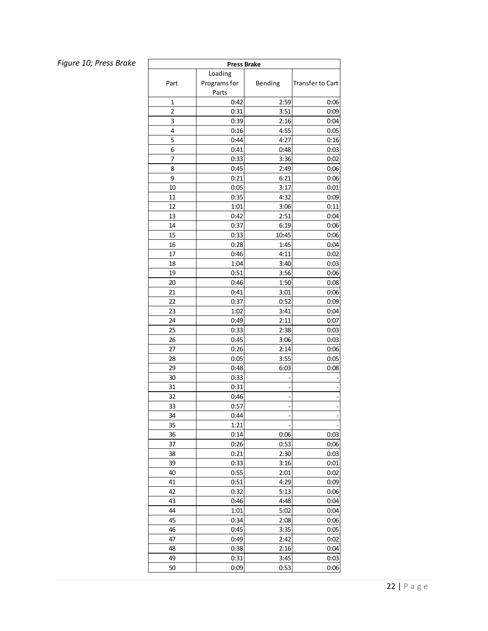# **Figure 10; Press Brake**

| <b>Press Brake</b> |              |              |                  |  |  |  |
|--------------------|--------------|--------------|------------------|--|--|--|
|                    | Loading      |              |                  |  |  |  |
| Part               | Programs for | Bending      | Transfer to Cart |  |  |  |
|                    | Parts        |              |                  |  |  |  |
| 1                  | 0:42         | 2:59         | 0:06             |  |  |  |
| $\overline{2}$     | 0:31         | 3:51         | 0:09             |  |  |  |
| 3                  | 0:39         | 2:16         | 0:04             |  |  |  |
| 4                  | 0:16         | 4:55         | 0:05             |  |  |  |
| 5                  | 0:44         | 4:27         | 0:16             |  |  |  |
| 6                  | 0:41         | 0:48         | 0:03             |  |  |  |
| 7                  | 0:33         | 3:36         | 0:02             |  |  |  |
| 8                  | 0:45         | 2:49         | 0:06             |  |  |  |
| 9                  | 0:21         | 6:21         | 0:06             |  |  |  |
| 10                 | 0:05         | 3:17         | 0:01             |  |  |  |
|                    |              |              |                  |  |  |  |
| 11                 | 0:35         | 4:32         | 0:09             |  |  |  |
| 12                 | 1:01         | 3:06         | 0:11             |  |  |  |
| 13                 | 0:42         | 2:51         | 0:04             |  |  |  |
| 14                 | 0:37         | 6:19         | 0:06             |  |  |  |
| 15                 | 0:33         | 10:45        | 0:06             |  |  |  |
| 16                 | 0:28         | 1:45         | 0:04             |  |  |  |
| 17                 | 0:46         | 4:11         | 0:02             |  |  |  |
| 18                 | 1:04         | 3:40         | 0:03             |  |  |  |
| 19                 | 0:51         | 3:56         | 0:06             |  |  |  |
| 20                 | 0:46         | 1:50         | 0:08             |  |  |  |
| 21                 | 0:41         | 3:01         | 0:06             |  |  |  |
| 22                 | 0:37         | 0:52         | 0:09             |  |  |  |
| 23                 | 1:02         | 3:41         | 0:04             |  |  |  |
| 24                 | 0:49         | 2:11         | 0:07             |  |  |  |
| 25                 | 0:33         | 2:38         | 0:03             |  |  |  |
| 26                 | 0:45         | 3:06         | 0:03             |  |  |  |
| 27                 | 0:26         | 2:14         | 0:06             |  |  |  |
| 28                 | 0:05         | 3:55         | 0:05             |  |  |  |
| 29                 | 0:48         | 6:03         | 0:08             |  |  |  |
| 30                 | 0:33         |              |                  |  |  |  |
| 31                 | 0:31         |              |                  |  |  |  |
| 32                 | 0:46         |              |                  |  |  |  |
| 33                 | 0:57         |              |                  |  |  |  |
| 34                 | 0:44         |              |                  |  |  |  |
| 35                 | 1:21         |              |                  |  |  |  |
| 36                 | 0:14         | 0:06         | 0:03             |  |  |  |
| 37                 | 0:26         | 0:53         | 0:06             |  |  |  |
| 38                 | 0:21         | 2:30         | 0:03             |  |  |  |
| 39                 | 0:33         | 3:16         | 0:01             |  |  |  |
| 40                 | 0:55         | 2:01         | 0:02             |  |  |  |
| 41                 | 0:51         |              | 0:09             |  |  |  |
| 42                 | 0:32         | 4:29<br>5:13 |                  |  |  |  |
| 43                 | 0:46         |              | 0:06             |  |  |  |
|                    |              | 4:48         | 0:04             |  |  |  |
| 44                 | 1:01         | 5:02         | 0:04             |  |  |  |
| 45                 | 0:34         | 2:08         | 0:06             |  |  |  |
| 46                 | 0:45         | 3:35         | 0:05             |  |  |  |
| 47                 | 0:49         | 2:42         | 0:02             |  |  |  |
| 48                 | 0:38         | 2:16         | 0:04             |  |  |  |
| 49                 | 0:31         | 3:45         | 0:03             |  |  |  |
| 50                 | 0:09         | 0:53         | 0:06             |  |  |  |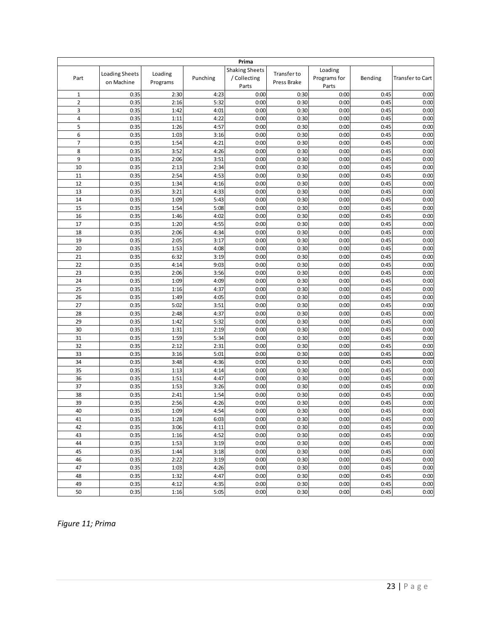| Prima          |                       |              |              |                       |              |              |              |                         |
|----------------|-----------------------|--------------|--------------|-----------------------|--------------|--------------|--------------|-------------------------|
|                |                       |              |              | <b>Shaking Sheets</b> |              | Loading      |              |                         |
| Part           | <b>Loading Sheets</b> | Loading      | Punching     | / Collecting          | Transfer to  | Programs for | Bending      | <b>Transfer to Cart</b> |
|                | on Machine            | Programs     |              | Parts                 | Press Brake  | Parts        |              |                         |
| 1              | 0:35                  | 2:30         | 4:23         | 0:00                  | 0:30         | 0:00         | 0:45         | 0:00                    |
| $\overline{2}$ | 0:35                  | 2:16         | 5:32         | 0:00                  | 0:30         | 0:00         | 0:45         | 0:00                    |
| 3              | 0:35                  | 1:42         | 4:01         | 0:00                  | 0:30         | 0:00         | 0:45         | 0:00                    |
| $\overline{4}$ | 0:35                  | 1:11         | 4:22         | 0:00                  | 0:30         | 0:00         | 0:45         | 0:00                    |
| 5              | 0:35                  | 1:26         | 4:57         | 0:00                  | 0:30         | 0:00         | 0:45         | 0:00                    |
| 6              | 0:35                  | 1:03         | 3:16         | 0:00                  | 0:30         | 0:00         | 0:45         | 0:00                    |
| $\overline{7}$ | 0:35                  | 1:54         | 4:21         | 0:00                  | 0:30         | 0:00         | 0:45         | 0:00                    |
| 8              | 0:35                  | 3:52         | 4:26         | 0:00                  | 0:30         | 0:00         | 0:45         | 0:00                    |
| 9              | 0:35                  | 2:06         | 3:51         | 0:00                  | 0:30         | 0:00         | 0:45         | 0:00                    |
| 10             | 0:35                  | 2:13         | 2:34         | 0:00                  | 0:30         | 0:00         | 0:45         | 0:00                    |
| 11             | 0:35                  | 2:54         | 4:53         | 0:00                  | 0:30         | 0:00         | 0:45         | 0:00                    |
| 12             | 0:35                  | 1:34         | 4:16         | 0:00                  | 0:30         | 0:00         | 0:45         | 0:00                    |
| 13             | 0:35                  | 3:21         | 4:33         | 0:00                  | 0:30         | 0:00         | 0:45         | 0:00                    |
| 14             | 0:35                  | 1:09         | 5:43         | 0:00                  | 0:30         | 0:00         | 0:45         | 0:00                    |
| 15             | 0:35                  | 1:54         | 5:08         | 0:00                  | 0:30         | 0:00         | 0:45         | 0:00                    |
| 16             | 0:35                  | 1:46         | 4:02         | 0:00                  | 0:30         | 0:00         | 0:45         | 0:00                    |
| 17             | 0:35                  | 1:20         | 4:55         | 0:00                  | 0:30         | 0:00         | 0:45         | 0:00                    |
| 18             | 0:35                  | 2:06         | 4:34         | 0:00                  | 0:30         | 0:00         | 0:45         | 0:00                    |
| 19             | 0:35                  | 2:05         | 3:17         | 0:00                  | 0:30         | 0:00         | 0:45         | 0:00                    |
| 20             | 0:35                  | 1:53         | 4:08         | 0:00                  | 0:30         | 0:00         | 0:45         | 0:00                    |
| 21             | 0:35                  | 6:32         | 3:19         | 0:00                  | 0:30         | 0:00         | 0:45         | 0:00                    |
| 22             | 0:35                  | 4:14         | 9:03         | 0:00                  | 0:30         | 0:00         | 0:45         | 0:00                    |
| 23             | 0:35                  | 2:06         | 3:56         | 0:00                  | 0:30         | 0:00         | 0:45         | 0:00                    |
| 24             | 0:35                  | 1:09         | 4:09         | 0:00                  | 0:30         | 0:00         | 0:45         | 0:00                    |
| 25             | 0:35                  | 1:16         | 4:37         | 0:00                  | 0:30         | 0:00         | 0:45         | 0:00                    |
| 26             | 0:35                  | 1:49         | 4:05         | 0:00                  | 0:30         | 0:00         | 0:45         | 0:00                    |
| 27             | 0:35                  | 5:02         | 3:51         | 0:00                  | 0:30         | 0:00         | 0:45         | 0:00                    |
| 28             | 0:35                  | 2:48         | 4:37         | 0:00                  | 0:30         | 0:00         | 0:45         | 0:00                    |
| 29             | 0:35                  | 1:42         | 5:32         | 0:00                  | 0:30         | 0:00         | 0:45         | 0:00                    |
| 30             | 0:35                  | 1:31         | 2:19         | 0:00                  | 0:30         | 0:00         | 0:45         | 0:00                    |
| 31             | 0:35                  | 1:59         | 5:34         | 0:00                  | 0:30         | 0:00         | 0:45         | 0:00                    |
| 32             | 0:35                  | 2:12         | 2:31         | 0:00                  | 0:30         | 0:00         | 0:45         | 0:00                    |
| 33             | 0:35                  | 3:16         | 5:01         | 0:00                  | 0:30         | 0:00         | 0:45         | 0:00                    |
| 34<br>35       | 0:35                  | 3:48         | 4:36         | 0:00                  | 0:30         | 0:00         | 0:45         | 0:00<br>0:00            |
|                | 0:35                  | 1:13         | 4:14         | 0:00                  | 0:30         | 0:00         | 0:45         |                         |
| 36<br>37       | 0:35<br>0:35          | 1:51<br>1:53 | 4:47         | 0:00                  | 0:30         | 0:00         | 0:45         | 0:00<br>0:00            |
|                |                       | 2:41         | 3:26<br>1:54 | 0:00<br>0:00          | 0:30         | 0:00<br>0:00 | 0:45<br>0:45 |                         |
| 38<br>39       | 0:35<br>0:35          | 2:56         | 4:26         | 0:00                  | 0:30<br>0:30 | 0:00         | 0:45         | 0:00<br>0:00            |
| 40             | 0:35                  | 1:09         | 4:54         | 0:00                  | 0:30         | 0:00         | 0:45         | 0:00                    |
| 41             | 0:35                  | 1:28         | 6:03         | 0:00                  | 0:30         | 0:00         | 0:45         | 0:00                    |
| 42             | 0:35                  | 3:06         | 4:11         | 0:00                  | 0:30         | 0:00         | 0:45         |                         |
| 43             | 0:35                  | 1:16         | 4:52         | 0:00                  | 0:30         | 0:00         | 0:45         | 0:00<br>0:00            |
| 44             | 0:35                  | 1:53         | 3:19         | 0:00                  | 0:30         | 0:00         | 0:45         | 0:00                    |
| 45             | 0:35                  | 1:44         | 3:18         | 0:00                  | 0:30         | 0:00         | 0:45         | 0:00                    |
| 46             | 0:35                  | 2:22         | 3:19         | 0:00                  | 0:30         | 0:00         | 0:45         | 0:00                    |
| 47             | 0:35                  | 1:03         | 4:26         | 0:00                  | 0:30         | 0:00         | 0:45         | 0:00                    |
| 48             | 0:35                  | 1:32         | 4:47         | 0:00                  | 0:30         | 0:00         | 0:45         | 0:00                    |
| 49             | 0:35                  | 4:12         | 4:35         | 0:00                  | 0:30         | 0:00         | 0:45         | 0:00                    |
| 50             | 0:35                  | 1:16         | 5:05         | 0:00                  | 0:30         | 0:00         | 0:45         | 0:00                    |

*Figure 11; Prima*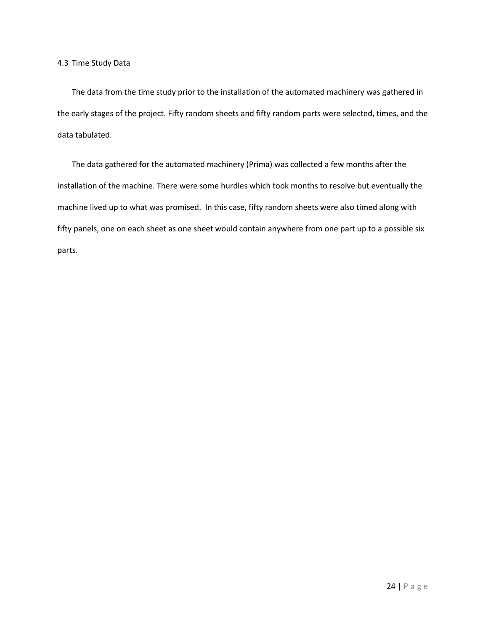The data from the time study prior to the installation of the automated machinery was gathered in the early stages of the project. Fifty random sheets and fifty random parts were selected, times, and the data tabulated.

The data gathered for the automated machinery (Prima) was collected a few months after the installation of the machine. There were some hurdles which took months to resolve but eventually the machine lived up to what was promised. In this case, fifty random sheets were also timed along with fifty panels, one on each sheet as one sheet would contain anywhere from one part up to a possible six parts.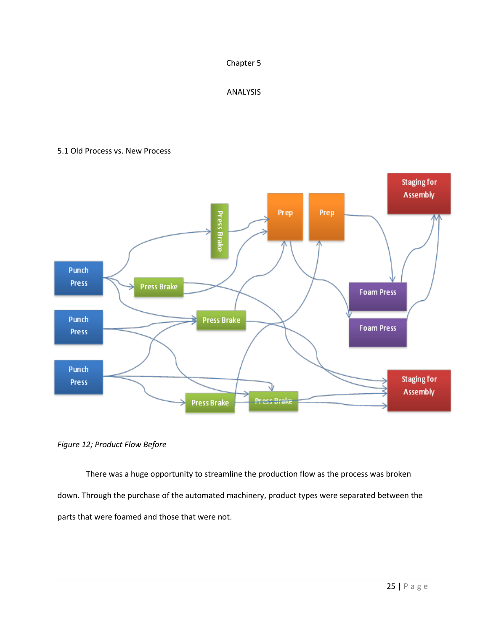# Chapter 5

# ANALYSIS

# 5.1 Old Process vs. New Process



*Figure 12; Product Flow Before*

There was a huge opportunity to streamline the production flow as the process was broken down. Through the purchase of the automated machinery, product types were separated between the parts that were foamed and those that were not.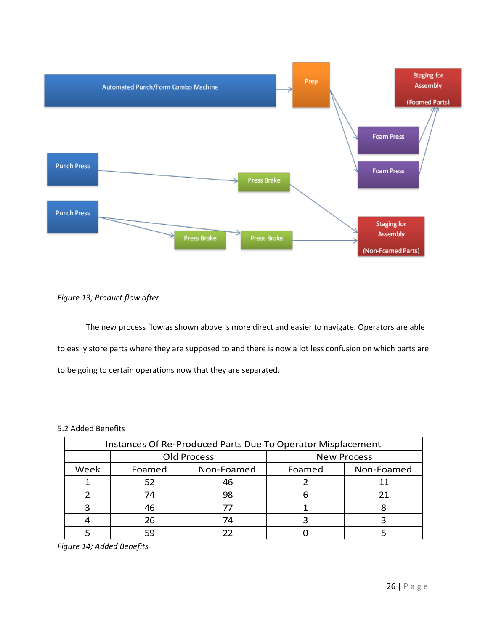

# *Figure 13; Product flow after*

The new process flow as shown above is more direct and easier to navigate. Operators are able to easily store parts where they are supposed to and there is now a lot less confusion on which parts are to be going to certain operations now that they are separated.

## 5.2 Added Benefits

| Instances Of Re-Produced Parts Due To Operator Misplacement |        |                    |        |                    |  |
|-------------------------------------------------------------|--------|--------------------|--------|--------------------|--|
|                                                             |        | <b>Old Process</b> |        | <b>New Process</b> |  |
| Week                                                        | Foamed | Non-Foamed         | Foamed | Non-Foamed         |  |
|                                                             | 52     | 46                 |        |                    |  |
|                                                             | 74     | 98                 |        |                    |  |
|                                                             | 46     | 77                 |        |                    |  |
|                                                             | 26     | 74                 |        |                    |  |
|                                                             | 59     | つつ                 |        |                    |  |

*Figure 14; Added Benefits*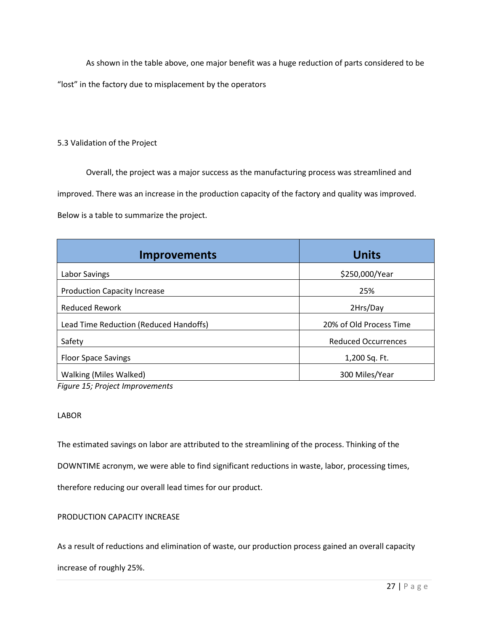As shown in the table above, one major benefit was a huge reduction of parts considered to be

"lost" in the factory due to misplacement by the operators

5.3 Validation of the Project

Overall, the project was a major success as the manufacturing process was streamlined and

improved. There was an increase in the production capacity of the factory and quality was improved.

Below is a table to summarize the project.

| <b>Improvements</b>                    | <b>Units</b>               |
|----------------------------------------|----------------------------|
| Labor Savings                          | \$250,000/Year             |
| <b>Production Capacity Increase</b>    | 25%                        |
| <b>Reduced Rework</b>                  | 2Hrs/Day                   |
| Lead Time Reduction (Reduced Handoffs) | 20% of Old Process Time    |
| Safety                                 | <b>Reduced Occurrences</b> |
| <b>Floor Space Savings</b>             | 1,200 Sq. Ft.              |
| Walking (Miles Walked)                 | 300 Miles/Year             |

*Figure 15; Project Improvements*

# LABOR

The estimated savings on labor are attributed to the streamlining of the process. Thinking of the

DOWNTIME acronym, we were able to find significant reductions in waste, labor, processing times,

therefore reducing our overall lead times for our product.

PRODUCTION CAPACITY INCREASE

As a result of reductions and elimination of waste, our production process gained an overall capacity

increase of roughly 25%.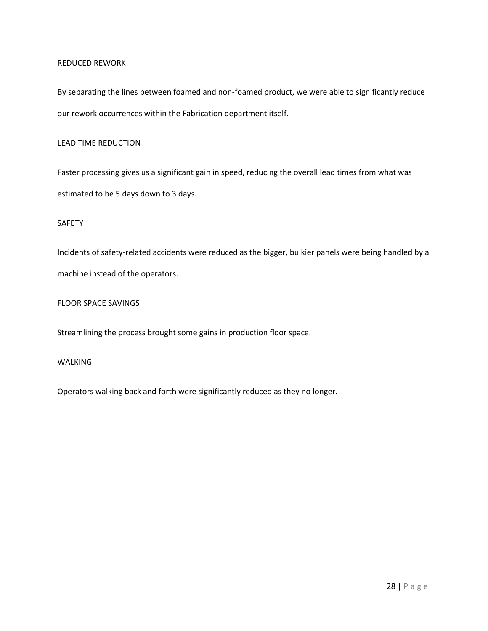# REDUCED REWORK

By separating the lines between foamed and non-foamed product, we were able to significantly reduce our rework occurrences within the Fabrication department itself.

## LEAD TIME REDUCTION

Faster processing gives us a significant gain in speed, reducing the overall lead times from what was estimated to be 5 days down to 3 days.

# SAFETY

Incidents of safety-related accidents were reduced as the bigger, bulkier panels were being handled by a machine instead of the operators.

# FLOOR SPACE SAVINGS

Streamlining the process brought some gains in production floor space.

## WALKING

Operators walking back and forth were significantly reduced as they no longer.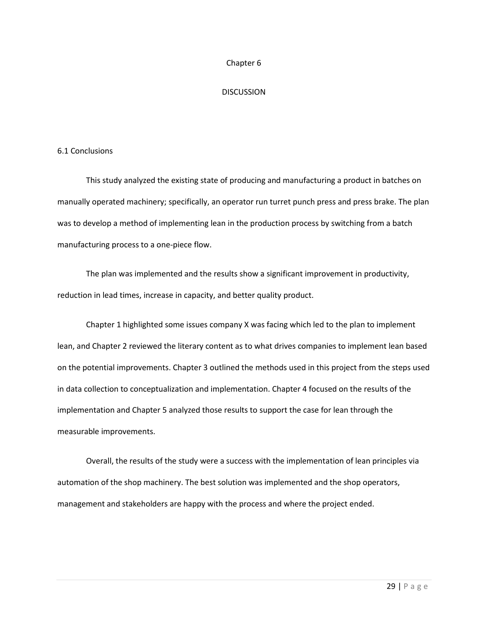### Chapter 6

### **DISCUSSION**

### 6.1 Conclusions

This study analyzed the existing state of producing and manufacturing a product in batches on manually operated machinery; specifically, an operator run turret punch press and press brake. The plan was to develop a method of implementing lean in the production process by switching from a batch manufacturing process to a one-piece flow.

The plan was implemented and the results show a significant improvement in productivity, reduction in lead times, increase in capacity, and better quality product.

Chapter 1 highlighted some issues company X was facing which led to the plan to implement lean, and Chapter 2 reviewed the literary content as to what drives companies to implement lean based on the potential improvements. Chapter 3 outlined the methods used in this project from the steps used in data collection to conceptualization and implementation. Chapter 4 focused on the results of the implementation and Chapter 5 analyzed those results to support the case for lean through the measurable improvements.

Overall, the results of the study were a success with the implementation of lean principles via automation of the shop machinery. The best solution was implemented and the shop operators, management and stakeholders are happy with the process and where the project ended.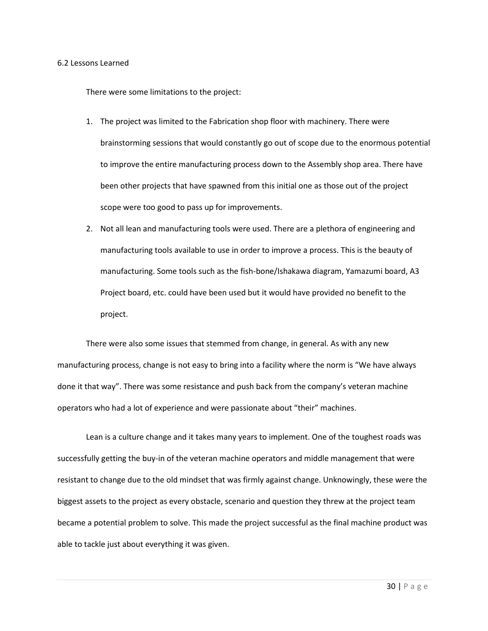### 6.2 Lessons Learned

There were some limitations to the project:

- 1. The project was limited to the Fabrication shop floor with machinery. There were brainstorming sessions that would constantly go out of scope due to the enormous potential to improve the entire manufacturing process down to the Assembly shop area. There have been other projects that have spawned from this initial one as those out of the project scope were too good to pass up for improvements.
- 2. Not all lean and manufacturing tools were used. There are a plethora of engineering and manufacturing tools available to use in order to improve a process. This is the beauty of manufacturing. Some tools such as the fish-bone/Ishakawa diagram, Yamazumi board, A3 Project board, etc. could have been used but it would have provided no benefit to the project.

There were also some issues that stemmed from change, in general. As with any new manufacturing process, change is not easy to bring into a facility where the norm is "We have always done it that way". There was some resistance and push back from the company's veteran machine operators who had a lot of experience and were passionate about "their" machines.

Lean is a culture change and it takes many years to implement. One of the toughest roads was successfully getting the buy-in of the veteran machine operators and middle management that were resistant to change due to the old mindset that was firmly against change. Unknowingly, these were the biggest assets to the project as every obstacle, scenario and question they threw at the project team became a potential problem to solve. This made the project successful as the final machine product was able to tackle just about everything it was given.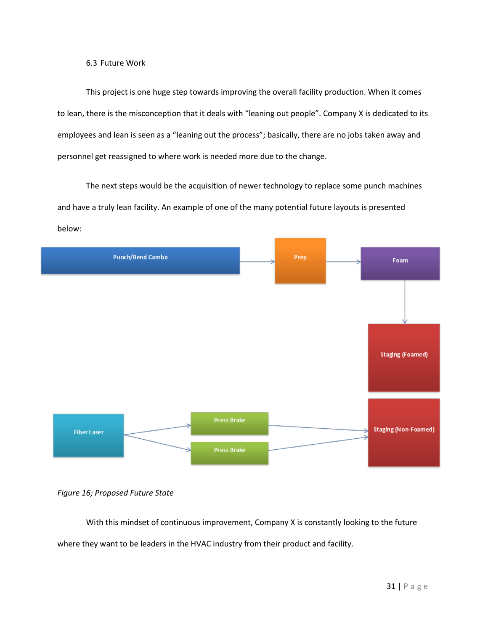## 6.3 Future Work

This project is one huge step towards improving the overall facility production. When it comes to lean, there is the misconception that it deals with "leaning out people". Company X is dedicated to its employees and lean is seen as a "leaning out the process"; basically, there are no jobs taken away and personnel get reassigned to where work is needed more due to the change.

The next steps would be the acquisition of newer technology to replace some punch machines and have a truly lean facility. An example of one of the many potential future layouts is presented below:



*Figure 16; Proposed Future State*

With this mindset of continuous improvement, Company X is constantly looking to the future

where they want to be leaders in the HVAC industry from their product and facility.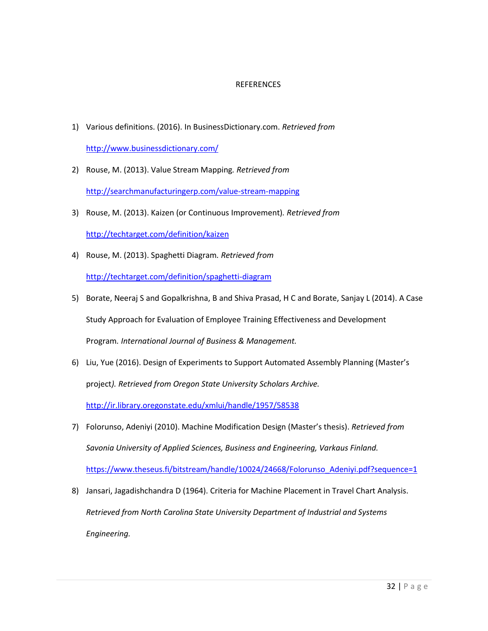# **REFERENCES**

- 1) Various definitions. (2016). In BusinessDictionary.com. *Retrieved from*  <http://www.businessdictionary.com/>
- 2) Rouse, M. (2013). Value Stream Mapping*. Retrieved from*

<http://searchmanufacturingerp.com/value-stream-mapping>

- 3) Rouse, M. (2013). Kaizen (or Continuous Improvement)*. Retrieved from* <http://techtarget.com/definition/kaizen>
- 4) Rouse, M. (2013). Spaghetti Diagram*. Retrieved from* <http://techtarget.com/definition/spaghetti-diagram>

5) Borate, Neeraj S and Gopalkrishna, B and Shiva Prasad, H C and Borate, Sanjay L (2014). A Case Study Approach for Evaluation of Employee Training Effectiveness and Development

- Program*. International Journal of Business & Management.*
- 6) Liu, Yue (2016). Design of Experiments to Support Automated Assembly Planning (Master's project*). Retrieved from Oregon State University Scholars Archive.*

<http://ir.library.oregonstate.edu/xmlui/handle/1957/58538>

- 7) Folorunso, Adeniyi (2010). Machine Modification Design (Master's thesis). *Retrieved from Savonia University of Applied Sciences, Business and Engineering, Varkaus Finland.* [https://www.theseus.fi/bitstream/handle/10024/24668/Folorunso\\_Adeniyi.pdf?sequence=1](https://www.theseus.fi/bitstream/handle/10024/24668/Folorunso_Adeniyi.pdf?sequence=1)
- 8) Jansari, Jagadishchandra D (1964). Criteria for Machine Placement in Travel Chart Analysis. *Retrieved from North Carolina State University Department of Industrial and Systems Engineering.*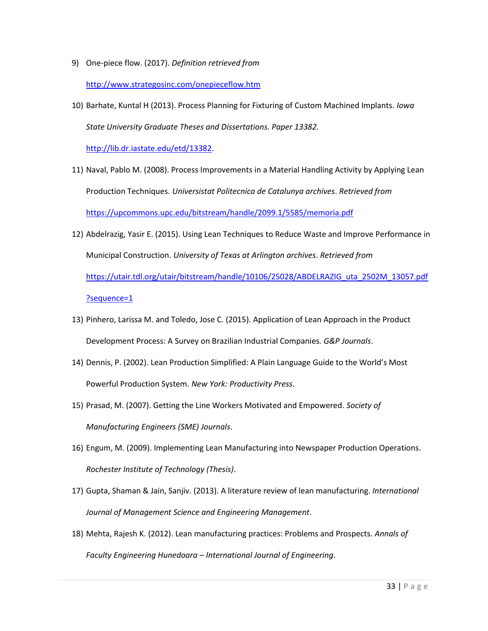- 9) One-piece flow. (2017). *Definition retrieved from* <http://www.strategosinc.com/onepieceflow.htm>
- 10) Barhate, Kuntal H (2013). Process Planning for Fixturing of Custom Machined Implants. *Iowa State University Graduate Theses and Dissertations. Paper 13382.*

[http://lib.dr.iastate.edu/etd/13382.](http://lib.dr.iastate.edu/etd/13382)

- 11) Naval, Pablo M. (2008). Process Improvements in a Material Handling Activity by Applying Lean Production Techniques. *Universistat Politecnica de Catalunya archives*. *Retrieved from* <https://upcommons.upc.edu/bitstream/handle/2099.1/5585/memoria.pdf>
- 12) Abdelrazig, Yasir E. (2015). Using Lean Techniques to Reduce Waste and Improve Performance in Municipal Construction. *University of Texas at Arlington archives*. *Retrieved from* [https://utair.tdl.org/utair/bitstream/handle/10106/25028/ABDELRAZIG\\_uta\\_2502M\\_13057.pdf](https://utair.tdl.org/utair/bitstream/handle/10106/25028/ABDELRAZIG_uta_2502M_13057.pdf?sequence=1) [?sequence=1](https://utair.tdl.org/utair/bitstream/handle/10106/25028/ABDELRAZIG_uta_2502M_13057.pdf?sequence=1)
- 13) Pinhero, Larissa M. and Toledo, Jose C. (2015). Application of Lean Approach in the Product Development Process: A Survey on Brazilian Industrial Companies*. G&P Journals*.
- 14) Dennis, P. (2002). Lean Production Simplified: A Plain Language Guide to the World's Most Powerful Production System. *New York: Productivity Press*.
- 15) Prasad, M. (2007). Getting the Line Workers Motivated and Empowered. *Society of Manufacturing Engineers (SME) Journals*.
- 16) Engum, M. (2009). Implementing Lean Manufacturing into Newspaper Production Operations. *Rochester Institute of Technology (Thesis)*.
- 17) Gupta, Shaman & Jain, Sanjiv. (2013). A literature review of lean manufacturing. *International Journal of Management Science and Engineering Management*.
- 18) Mehta, Rajesh K. (2012). Lean manufacturing practices: Problems and Prospects. *Annals of Faculty Engineering Hunedoara – International Journal of Engineering*.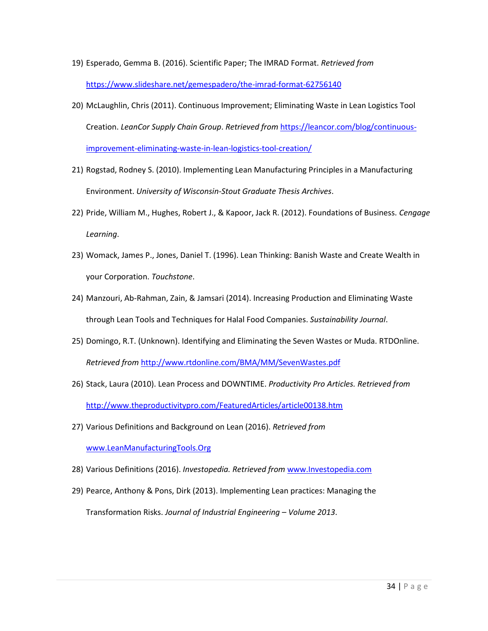- 19) Esperado, Gemma B. (2016). Scientific Paper; The IMRAD Format. *Retrieved from* <https://www.slideshare.net/gemespadero/the-imrad-format-62756140>
- 20) McLaughlin, Chris (2011). Continuous Improvement; Eliminating Waste in Lean Logistics Tool Creation. *LeanCor Supply Chain Group*. *Retrieved from* [https://leancor.com/blog/continuous](https://leancor.com/blog/continuous-improvement-eliminating-waste-in-lean-logistics-tool-creation/)[improvement-eliminating-waste-in-lean-logistics-tool-creation/](https://leancor.com/blog/continuous-improvement-eliminating-waste-in-lean-logistics-tool-creation/)
- 21) Rogstad, Rodney S. (2010). Implementing Lean Manufacturing Principles in a Manufacturing Environment. *University of Wisconsin-Stout Graduate Thesis Archives*.
- 22) Pride, William M., Hughes, Robert J., & Kapoor, Jack R. (2012). Foundations of Business. *Cengage Learning*.
- 23) Womack, James P., Jones, Daniel T. (1996). Lean Thinking: Banish Waste and Create Wealth in your Corporation. *Touchstone*.
- 24) Manzouri, Ab-Rahman, Zain, & Jamsari (2014). Increasing Production and Eliminating Waste through Lean Tools and Techniques for Halal Food Companies. *Sustainability Journal*.
- 25) Domingo, R.T. (Unknown). Identifying and Eliminating the Seven Wastes or Muda. RTDOnline. *Retrieved from* <http://www.rtdonline.com/BMA/MM/SevenWastes.pdf>
- 26) Stack, Laura (2010). Lean Process and DOWNTIME. *Productivity Pro Articles. Retrieved from* <http://www.theproductivitypro.com/FeaturedArticles/article00138.htm>
- 27) Various Definitions and Background on Lean (2016). *Retrieved from*

[www.LeanManufacturingTools.Org](http://www.leanmanufacturingtools.org/)

- 28) Various Definitions (2016). *Investopedia. Retrieved from* [www.Investopedia.com](http://www.investopedia.com/)
- 29) Pearce, Anthony & Pons, Dirk (2013). Implementing Lean practices: Managing the Transformation Risks. *Journal of Industrial Engineering – Volume 2013*.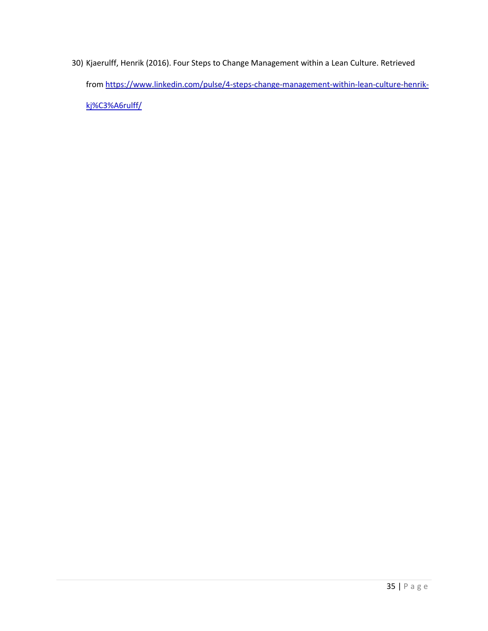30) Kjaerulff, Henrik (2016). Four Steps to Change Management within a Lean Culture. Retrieved from [https://www.linkedin.com/pulse/4-steps-change-management-within-lean-culture-henrik](https://www.linkedin.com/pulse/4-steps-change-management-within-lean-culture-henrik-kj%C3%A6rulff/)[kj%C3%A6rulff/](https://www.linkedin.com/pulse/4-steps-change-management-within-lean-culture-henrik-kj%C3%A6rulff/)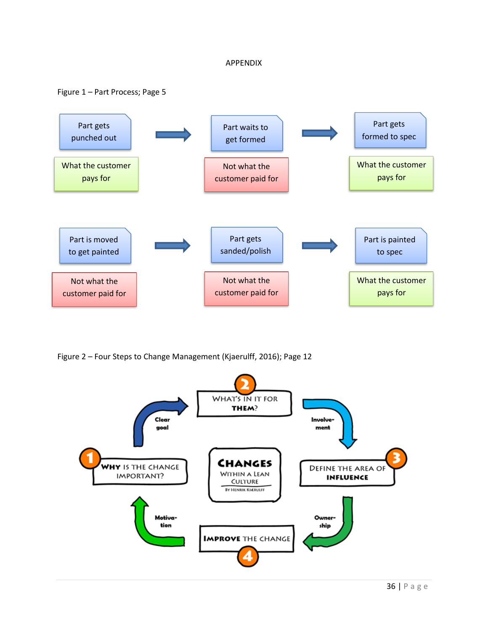## APPENDIX





Figure 2 – Four Steps to Change Management (Kjaerulff, 2016); Page 12

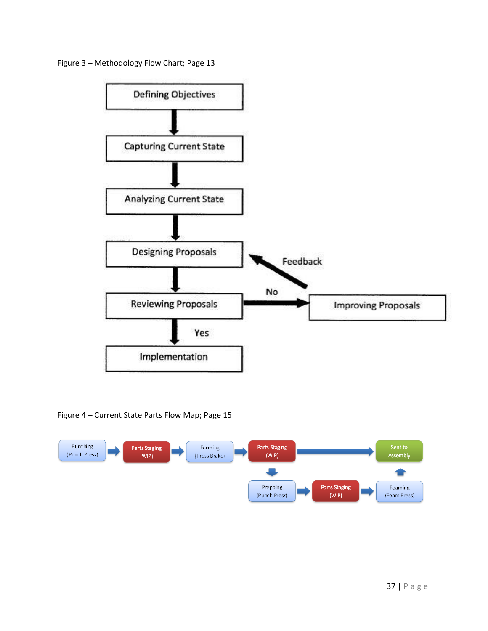Figure 3 – Methodology Flow Chart; Page 13



Figure 4 – Current State Parts Flow Map; Page 15

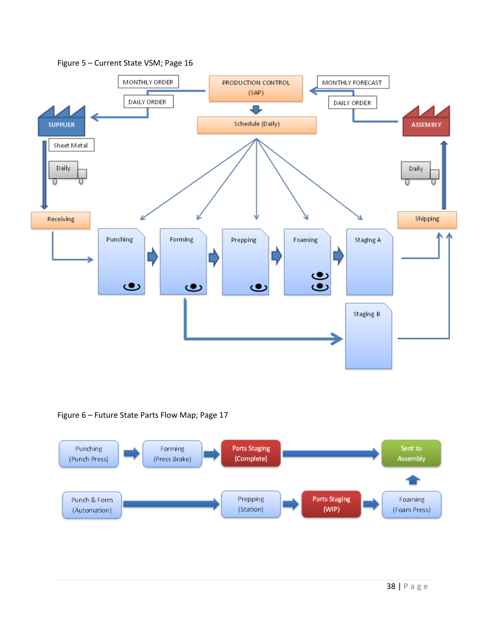

Figure 5 – Current State VSM; Page 16

Figure 6 – Future State Parts Flow Map; Page 17

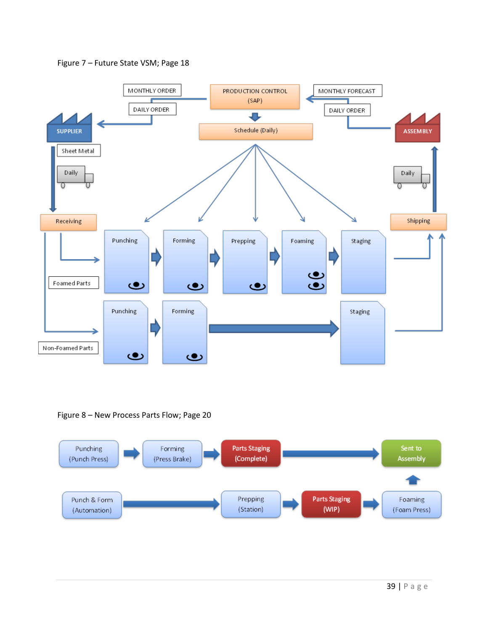



Figure 8 – New Process Parts Flow; Page 20

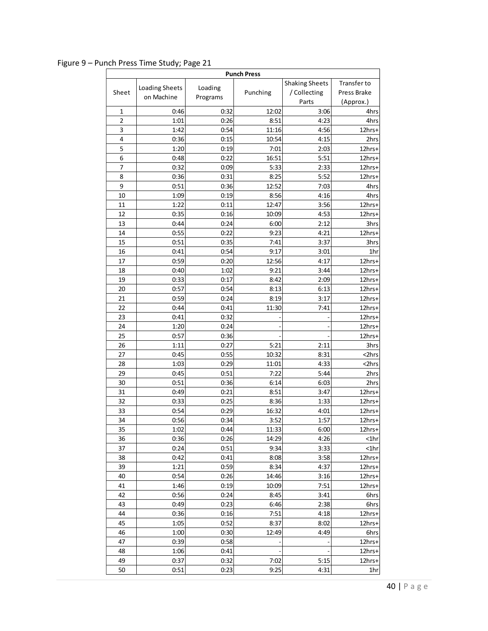Sheet Loading Sheets on Machine Loading Programs Punching / Collecting Parts Press Brake (Approx.) 1 0:46 0:32 12:02 3:06 4hrs 2 | 1:01 0:26 8:51 4:23 4hrs 3 1:42 0:54 11:16 4:56 12hrs+ 4 **0:36 10:54 10:54 10:54 11:5** 2hrs 5 **1:20** 0:19 7:01 2:03 12hrs+ 6 0:48 0:22 16:51 5:51 12hrs+ 7 | 0:32 0:09 5:33 2:33 12hrs+ 8 0:36 0:31 8:25 5:52 12hrs+ 9 | 0:51 0:36 12:52 7:03 4hrs 10 | 1:09 0:19 8:56 4:16 4hrs 11 | 1:22 0:11 12:47 3:56 12hrs+ 12 0:35 0:16 10:09 4:53 12hrs+ 13 0:44 0:24 6:00 2:12 3hrs 14 0:55 0:22 9:23 4:21 12hrs+ 15 0:51 0:35 7:41 3:37 3hrs 16 0:41 0:54 9:17 3:01 1hr 17 0:59 0:20 12:56 4:17 12hrs+ 18 0:40 1:02 9:21 3:44 12hrs+ 19 0:33 0:17 8:42 2:09 12hrs+ 20 0:57 0:54 8:13 6:13 6:13 21 0:59 0:24 8:19 3:17 12hrs+ 22 0:44 0:41 11:30 7:41 12hrs+ 23 | 0:41 0:32 - - 12hrs+ 24 | 1:20 0:24 - - - - 12hrs+ 25 | 0:57 0:36 - 12hrs+ 26 **1:11** 0:27 5:21 2:11 3hrs 27 | 0:45 0:55 10:32 8:31 <2hrs 28 1:03 0:29 11:01 4:33 <2hrs 29 0:45 0:51 7:22 5:44 2hrs 30 0:51 0:36 6:14 6:03 2hrs 31 0:49 0:21 8:51 3:47 12hrs+ 32 0:33 0:25 8:36 1:33 12hrs+ 33 0:54 0:29 16:32 4:01 12hrs+ 34 0:56 0:34 3:52 1:57 12hrs+ 35 1:02 0:44 11:33 6:00 12hrs+ 36 0:36 0:26 14:29 4:26 <1hr 37 0:24 0:51 9:34 3:33 <1hr 38 0:42 0:41 8:08 3:58 12hrs+ 39 1:21 0:59 8:34 4:37 12hrs+ 40 | 0:54 0:26 14:46 3:16 12hrs+ 41 | 1:46 0:19 10:09 7:51 12hrs+ 42 0:56 0:24 8:45 3:41 6hrs 43 0:49 0:23 6:46 2:38 6hrs 44 | 0:36 0:16 7:51 4:18 12hrs+ 45 | 1:05 0:52 8:37 8:02 12hrs+ 46 | 1:00 0:30 12:49 4:49 6hrs 47 | 0:39 0:58 - - 12hrs+ 48 | 1:06 0:41 - - 12hrs+ 49 0:37 0:32 7:02 5:15 12hrs+

50 0:51 0:23 9:25 4:31 1hr

Shaking Sheets

**Punch Press**

Transfer to

Figure 9 – Punch Press Time Study; Page 21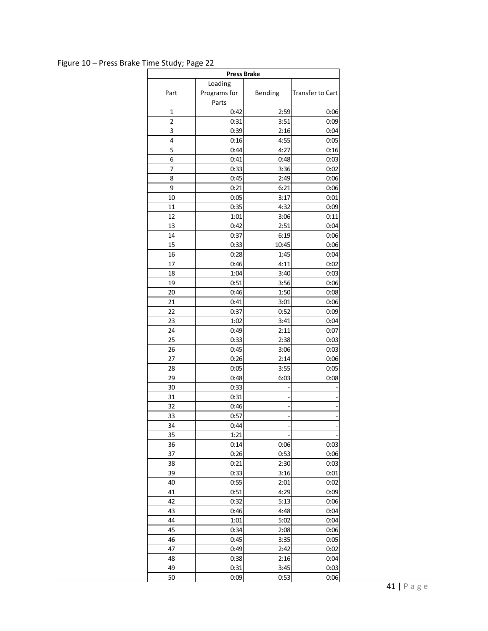# Figure 10 – Press Brake Time Study; Page 22

| <b>Press Brake</b> |              |         |                  |  |  |  |
|--------------------|--------------|---------|------------------|--|--|--|
|                    | Loading      |         |                  |  |  |  |
| Part               | Programs for | Bending | Transfer to Cart |  |  |  |
|                    | Parts        |         |                  |  |  |  |
| 1                  | 0:42         | 2:59    | 0:06             |  |  |  |
| 2                  | 0:31         | 3:51    | 0:09             |  |  |  |
| 3                  | 0:39         | 2:16    | 0:04             |  |  |  |
| 4                  | 0:16         | 4:55    | 0:05             |  |  |  |
| 5                  | 0:44         | 4:27    | 0:16             |  |  |  |
| 6                  | 0:41         | 0:48    | 0:03             |  |  |  |
| 7                  | 0:33         | 3:36    | 0:02             |  |  |  |
| 8                  | 0:45         | 2:49    | 0:06             |  |  |  |
| 9                  | 0:21         | 6:21    | 0:06             |  |  |  |
| 10                 | 0:05         | 3:17    | 0:01             |  |  |  |
| 11                 | 0:35         | 4:32    | 0:09             |  |  |  |
| 12                 | 1:01         | 3:06    | 0:11             |  |  |  |
| 13                 | 0:42         | 2:51    | 0:04             |  |  |  |
| 14                 | 0:37         | 6:19    | 0:06             |  |  |  |
| 15                 | 0:33         | 10:45   | 0:06             |  |  |  |
| 16                 | 0:28         | 1:45    | 0:04             |  |  |  |
| 17                 | 0:46         | 4:11    | 0:02             |  |  |  |
| 18                 | 1:04         | 3:40    | 0:03             |  |  |  |
| 19                 | 0:51         | 3:56    | 0:06             |  |  |  |
| 20                 | 0:46         | 1:50    | 0:08             |  |  |  |
| 21                 | 0:41         | 3:01    | 0:06             |  |  |  |
| 22                 | 0:37         | 0:52    | 0:09             |  |  |  |
| 23                 | 1:02         | 3:41    | 0:04             |  |  |  |
| 24                 | 0:49         | 2:11    | 0:07             |  |  |  |
| 25                 | 0:33         | 2:38    | 0:03             |  |  |  |
| 26                 | 0:45         | 3:06    | 0:03             |  |  |  |
| 27                 | 0:26         | 2:14    | 0:06             |  |  |  |
| 28                 | 0:05         | 3:55    | 0:05             |  |  |  |
| 29                 | 0:48         | 6:03    | 0:08             |  |  |  |
| 30                 | 0:33         |         |                  |  |  |  |
| 31                 | 0:31         |         |                  |  |  |  |
| 32                 | 0:46         |         |                  |  |  |  |
| 33                 | 0:57         |         |                  |  |  |  |
| 34                 | 0:44         |         |                  |  |  |  |
| 35                 | 1:21         |         |                  |  |  |  |
| 36                 | 0:14         | 0:06    | 0:03             |  |  |  |
| 37                 | 0:26         | 0:53    | 0:06             |  |  |  |
| 38                 | 0:21         | 2:30    | 0:03             |  |  |  |
| 39                 | 0:33         | 3:16    | 0:01             |  |  |  |
| 40                 | 0:55         | 2:01    | 0:02             |  |  |  |
| 41                 | 0:51         | 4:29    | 0:09             |  |  |  |
| 42                 | 0:32         | 5:13    | 0:06             |  |  |  |
| 43                 | 0:46         | 4:48    | 0:04             |  |  |  |
| 44                 | 1:01         | 5:02    | 0:04             |  |  |  |
| 45                 | 0:34         | 2:08    | 0:06             |  |  |  |
| 46                 | 0:45         | 3:35    | 0:05             |  |  |  |
| 47                 | 0:49         | 2:42    | 0:02             |  |  |  |
| 48                 | 0:38         | 2:16    | 0:04             |  |  |  |
| 49                 | 0:31         | 3:45    | 0:03             |  |  |  |
| 50                 | 0:09         | 0:53    | 0:06             |  |  |  |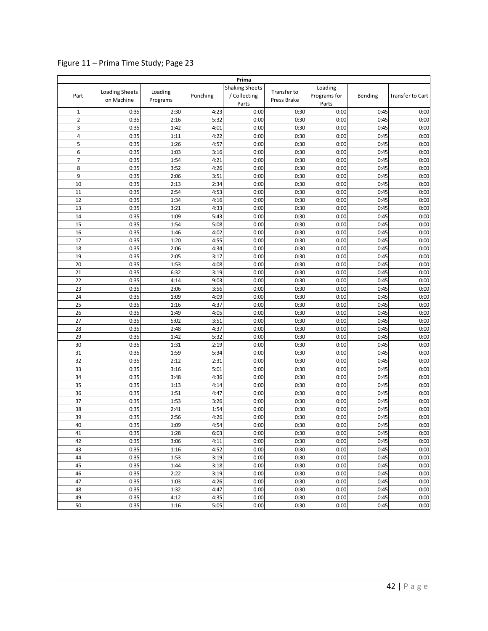| Prima          |                       |              |              |                       |              |              |              |                  |
|----------------|-----------------------|--------------|--------------|-----------------------|--------------|--------------|--------------|------------------|
|                |                       |              |              | <b>Shaking Sheets</b> | Transfer to  | Loading      |              |                  |
| Part           | <b>Loading Sheets</b> | Loading      | Punching     | / Collecting          |              | Programs for | Bending      | Transfer to Cart |
|                | on Machine            | Programs     |              | Parts                 | Press Brake  | Parts        |              |                  |
| $\mathbf{1}$   | 0:35                  | 2:30         | 4:23         | 0:00                  | 0:30         | 0:00         | 0:45         | 0:00             |
| $\overline{2}$ | 0:35                  | 2:16         | 5:32         | 0:00                  | 0:30         | 0:00         | 0:45         | 0:00             |
| 3              | 0:35                  | 1:42         | 4:01         | 0:00                  | 0:30         | 0:00         | 0:45         | 0:00             |
| $\overline{4}$ | 0:35                  | 1:11         | 4:22         | 0:00                  | 0:30         | 0:00         | 0:45         | 0:00             |
| 5              | 0:35                  | 1:26         | 4:57         | 0:00                  | 0:30         | 0:00         | 0:45         | 0:00             |
| 6              | 0:35                  | 1:03         | 3:16         | 0:00                  | 0:30         | 0:00         | 0:45         | 0:00             |
| $\overline{7}$ | 0:35                  | 1:54         | 4:21         | 0:00                  | 0:30         | 0:00         | 0:45         | 0:00             |
| 8              | 0:35                  | 3:52         | 4:26         | 0:00                  | 0:30         | 0:00         | 0:45         | 0:00             |
| 9              | 0:35                  | 2:06         | 3:51         | 0:00                  | 0:30         | 0:00         | 0:45         | 0:00             |
| 10             | 0:35                  | 2:13         | 2:34         | 0:00                  | 0:30         | 0:00         | 0:45         | 0:00             |
| 11             | 0:35                  | 2:54         | 4:53         | 0:00                  | 0:30         | 0:00         | 0:45         | 0:00             |
| 12             | 0:35                  | 1:34         | 4:16         | 0:00                  | 0:30         | 0:00         | 0:45         | 0:00             |
| 13             | 0:35                  | 3:21         | 4:33         | 0:00                  | 0:30         | 0:00         | 0:45         | 0:00             |
| 14             | 0:35                  | 1:09         | 5:43         | 0:00                  | 0:30         | 0:00         | 0:45         | 0:00             |
| 15             | 0:35                  | 1:54         | 5:08         | 0:00                  | 0:30         | 0:00         | 0:45         | 0:00             |
| 16             | 0:35                  | 1:46         | 4:02         | 0:00                  | 0:30         | 0:00         | 0:45         | 0:00             |
| 17             | 0:35                  | 1:20         | 4:55         | 0:00                  | 0:30         | 0:00         | 0:45         | 0:00             |
| 18             | 0:35                  | 2:06         | 4:34         | 0:00                  | 0:30         | 0:00         | 0:45         | 0:00             |
| 19             | 0:35                  | 2:05         | 3:17         | 0:00                  | 0:30         | 0:00         | 0:45         | 0:00             |
| 20             | 0:35                  | 1:53         | 4:08         | 0:00                  | 0:30         | 0:00         | 0:45         | 0:00             |
| 21             | 0:35                  | 6:32         | 3:19         | 0:00                  | 0:30         | 0:00         | 0:45         | 0:00             |
| 22             | 0:35                  | 4:14         | 9:03         | 0:00                  | 0:30         | 0:00         | 0:45         | 0:00             |
| 23             | 0:35                  | 2:06         | 3:56         | 0:00                  | 0:30         | 0:00         | 0:45         | 0:00             |
| 24             | 0:35                  | 1:09         | 4:09         | 0:00                  | 0:30         | 0:00         | 0:45         | 0:00             |
| 25             | 0:35                  | 1:16         | 4:37         | 0:00                  | 0:30         | 0:00         | 0:45         | 0:00             |
| 26             | 0:35                  | 1:49         | 4:05         | 0:00                  | 0:30         | 0:00         | 0:45         | 0:00             |
| 27             | 0:35                  | 5:02         | 3:51         | 0:00                  | 0:30         | 0:00         | 0:45         | 0:00             |
| 28             | 0:35                  | 2:48         | 4:37         | 0:00                  | 0:30         | 0:00         | 0:45         | 0:00             |
| 29             | 0:35                  | 1:42         | 5:32         | 0:00                  | 0:30         | 0:00         | 0:45         | 0:00             |
| 30             | 0:35                  | 1:31         | 2:19         | 0:00                  | 0:30         | 0:00         | 0:45         | 0:00             |
| 31             | 0:35                  | 1:59         | 5:34<br>2:31 | 0:00                  | 0:30         | 0:00         | 0:45         | 0:00             |
| 32             | 0:35                  | 2:12         |              | 0:00                  | 0:30         | 0:00         | 0:45         | 0:00             |
| 33             | 0:35                  | 3:16         | 5:01         | 0:00                  | 0:30         | 0:00         | 0:45         | 0:00<br>0:00     |
| 34             | 0:35                  | 3:48<br>1:13 | 4:36<br>4:14 | 0:00                  | 0:30         | 0:00<br>0:00 | 0:45<br>0:45 | 0:00             |
| 35<br>36       | 0:35<br>0:35          | 1:51         | 4:47         | 0:00<br>0:00          | 0:30<br>0:30 | 0:00         | 0:45         | 0:00             |
| 37             | 0:35                  | 1:53         | 3:26         | 0:00                  | 0:30         | 0:00         | 0:45         | 0:00             |
| 38             | 0:35                  | 2:41         | 1:54         | 0:00                  | 0:30         | 0:00         | 0:45         | 0:00             |
| 39             | 0:35                  | 2:56         | 4:26         | 0:00                  | 0:30         | 0:00         | 0:45         | 0:00             |
| 40             | 0:35                  | 1:09         | 4:54         | 0:00                  | 0:30         | 0:00         | 0:45         | 0:00             |
| 41             | 0:35                  | 1:28         | 6:03         | 0:00                  | 0:30         | 0:00         | 0:45         | 0:00             |
| 42             | 0:35                  | 3:06         | 4:11         | 0:00                  | 0:30         | 0:00         | 0:45         | 0:00             |
| 43             | 0:35                  | 1:16         | 4:52         | 0:00                  | 0:30         | 0:00         | 0:45         | 0:00             |
| 44             | 0:35                  | 1:53         | 3:19         | 0:00                  | 0:30         | 0:00         | 0:45         | 0:00             |
| 45             | 0:35                  | 1:44         | 3:18         | 0:00                  | 0:30         | 0:00         | 0:45         | 0:00             |
| 46             | 0:35                  | 2:22         | 3:19         | 0:00                  | 0:30         | 0:00         | 0:45         | 0:00             |
| 47             | 0:35                  | 1:03         | 4:26         | 0:00                  | 0:30         | 0:00         | 0:45         | 0:00             |
| 48             | 0:35                  | 1:32         | 4:47         | 0:00                  | 0:30         | 0:00         | 0:45         | 0:00             |
| 49             | 0:35                  | 4:12         | 4:35         | 0:00                  | 0:30         | 0:00         | 0:45         | 0:00             |
| 50             | 0:35                  | 1:16         | 5:05         | 0:00                  | 0:30         | 0:00         | 0:45         | 0:00             |

Figure 11 – Prima Time Study; Page 23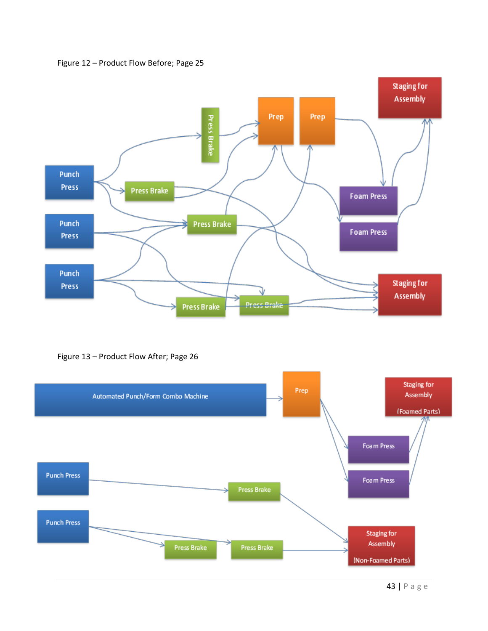



Figure 13 – Product Flow After; Page 26

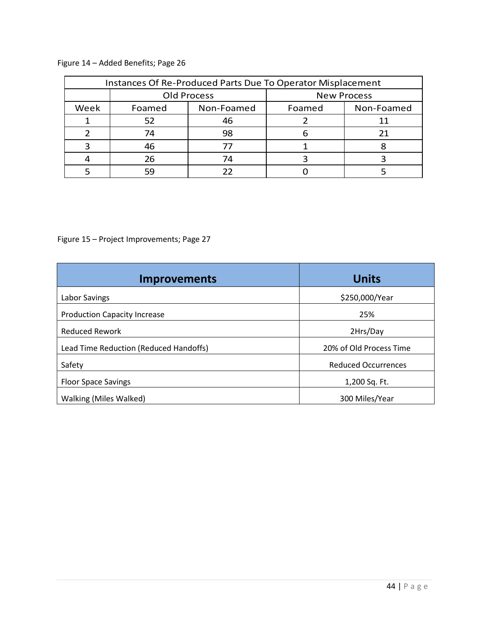# Figure 14 – Added Benefits; Page 26

| Instances Of Re-Produced Parts Due To Operator Misplacement |        |                    |                    |            |  |  |
|-------------------------------------------------------------|--------|--------------------|--------------------|------------|--|--|
|                                                             |        | <b>Old Process</b> | <b>New Process</b> |            |  |  |
| Week                                                        | Foamed | Non-Foamed         | Foamed             | Non-Foamed |  |  |
|                                                             | 52     | 46                 |                    |            |  |  |
|                                                             | 74     | 98                 |                    |            |  |  |
|                                                             | 46     | 77                 |                    |            |  |  |
|                                                             | 26     | 74                 |                    |            |  |  |
|                                                             | 59     | つつ                 |                    |            |  |  |

Figure 15 – Project Improvements; Page 27

| <b>Improvements</b>                    | <b>Units</b>               |
|----------------------------------------|----------------------------|
| Labor Savings                          | \$250,000/Year             |
| <b>Production Capacity Increase</b>    | 25%                        |
| <b>Reduced Rework</b>                  | 2Hrs/Day                   |
| Lead Time Reduction (Reduced Handoffs) | 20% of Old Process Time    |
| Safety                                 | <b>Reduced Occurrences</b> |
| <b>Floor Space Savings</b>             | 1,200 Sq. Ft.              |
| Walking (Miles Walked)                 | 300 Miles/Year             |